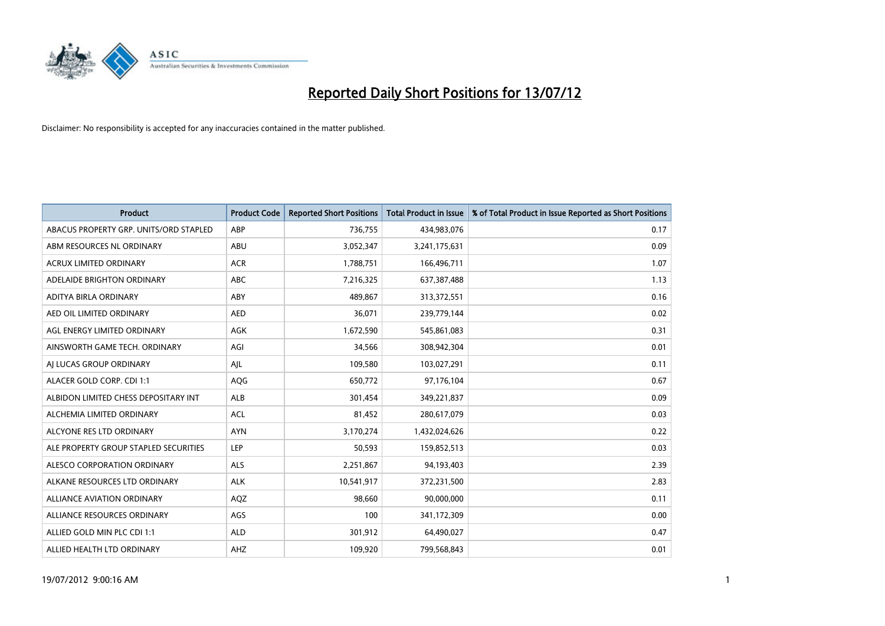

| <b>Product</b>                         | <b>Product Code</b> | <b>Reported Short Positions</b> | <b>Total Product in Issue</b> | % of Total Product in Issue Reported as Short Positions |
|----------------------------------------|---------------------|---------------------------------|-------------------------------|---------------------------------------------------------|
| ABACUS PROPERTY GRP. UNITS/ORD STAPLED | ABP                 | 736,755                         | 434,983,076                   | 0.17                                                    |
| ABM RESOURCES NL ORDINARY              | ABU                 | 3,052,347                       | 3,241,175,631                 | 0.09                                                    |
| <b>ACRUX LIMITED ORDINARY</b>          | <b>ACR</b>          | 1,788,751                       | 166,496,711                   | 1.07                                                    |
| ADELAIDE BRIGHTON ORDINARY             | <b>ABC</b>          | 7,216,325                       | 637,387,488                   | 1.13                                                    |
| ADITYA BIRLA ORDINARY                  | ABY                 | 489,867                         | 313,372,551                   | 0.16                                                    |
| AED OIL LIMITED ORDINARY               | <b>AED</b>          | 36,071                          | 239,779,144                   | 0.02                                                    |
| AGL ENERGY LIMITED ORDINARY            | <b>AGK</b>          | 1,672,590                       | 545,861,083                   | 0.31                                                    |
| AINSWORTH GAME TECH. ORDINARY          | AGI                 | 34,566                          | 308,942,304                   | 0.01                                                    |
| AI LUCAS GROUP ORDINARY                | AJL                 | 109,580                         | 103,027,291                   | 0.11                                                    |
| ALACER GOLD CORP. CDI 1:1              | AQG                 | 650,772                         | 97,176,104                    | 0.67                                                    |
| ALBIDON LIMITED CHESS DEPOSITARY INT   | ALB                 | 301,454                         | 349,221,837                   | 0.09                                                    |
| ALCHEMIA LIMITED ORDINARY              | <b>ACL</b>          | 81,452                          | 280,617,079                   | 0.03                                                    |
| ALCYONE RES LTD ORDINARY               | <b>AYN</b>          | 3,170,274                       | 1,432,024,626                 | 0.22                                                    |
| ALE PROPERTY GROUP STAPLED SECURITIES  | LEP                 | 50,593                          | 159,852,513                   | 0.03                                                    |
| ALESCO CORPORATION ORDINARY            | <b>ALS</b>          | 2,251,867                       | 94,193,403                    | 2.39                                                    |
| ALKANE RESOURCES LTD ORDINARY          | <b>ALK</b>          | 10,541,917                      | 372,231,500                   | 2.83                                                    |
| <b>ALLIANCE AVIATION ORDINARY</b>      | AQZ                 | 98,660                          | 90,000,000                    | 0.11                                                    |
| ALLIANCE RESOURCES ORDINARY            | AGS                 | 100                             | 341,172,309                   | 0.00                                                    |
| ALLIED GOLD MIN PLC CDI 1:1            | <b>ALD</b>          | 301,912                         | 64,490,027                    | 0.47                                                    |
| ALLIED HEALTH LTD ORDINARY             | AHZ                 | 109,920                         | 799,568,843                   | 0.01                                                    |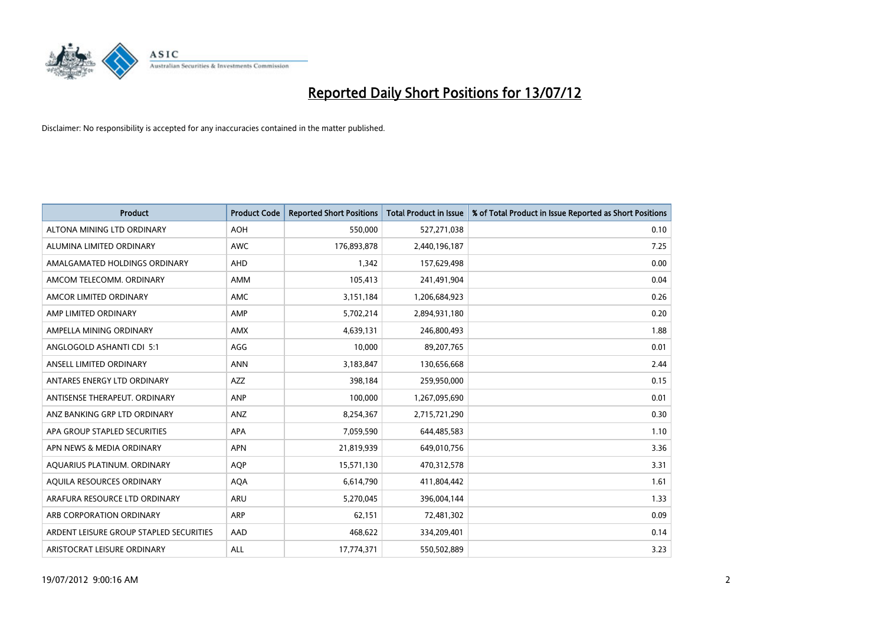

| <b>Product</b>                          | <b>Product Code</b> | <b>Reported Short Positions</b> | <b>Total Product in Issue</b> | % of Total Product in Issue Reported as Short Positions |
|-----------------------------------------|---------------------|---------------------------------|-------------------------------|---------------------------------------------------------|
| ALTONA MINING LTD ORDINARY              | <b>AOH</b>          | 550,000                         | 527,271,038                   | 0.10                                                    |
| ALUMINA LIMITED ORDINARY                | <b>AWC</b>          | 176,893,878                     | 2,440,196,187                 | 7.25                                                    |
| AMALGAMATED HOLDINGS ORDINARY           | AHD                 | 1,342                           | 157,629,498                   | 0.00                                                    |
| AMCOM TELECOMM. ORDINARY                | <b>AMM</b>          | 105,413                         | 241,491,904                   | 0.04                                                    |
| AMCOR LIMITED ORDINARY                  | AMC                 | 3,151,184                       | 1,206,684,923                 | 0.26                                                    |
| AMP LIMITED ORDINARY                    | AMP                 | 5,702,214                       | 2,894,931,180                 | 0.20                                                    |
| AMPELLA MINING ORDINARY                 | <b>AMX</b>          | 4,639,131                       | 246,800,493                   | 1.88                                                    |
| ANGLOGOLD ASHANTI CDI 5:1               | AGG                 | 10,000                          | 89,207,765                    | 0.01                                                    |
| ANSELL LIMITED ORDINARY                 | <b>ANN</b>          | 3,183,847                       | 130,656,668                   | 2.44                                                    |
| ANTARES ENERGY LTD ORDINARY             | <b>AZZ</b>          | 398,184                         | 259,950,000                   | 0.15                                                    |
| ANTISENSE THERAPEUT. ORDINARY           | ANP                 | 100,000                         | 1,267,095,690                 | 0.01                                                    |
| ANZ BANKING GRP LTD ORDINARY            | ANZ                 | 8,254,367                       | 2,715,721,290                 | 0.30                                                    |
| APA GROUP STAPLED SECURITIES            | <b>APA</b>          | 7,059,590                       | 644,485,583                   | 1.10                                                    |
| APN NEWS & MEDIA ORDINARY               | <b>APN</b>          | 21,819,939                      | 649,010,756                   | 3.36                                                    |
| AQUARIUS PLATINUM. ORDINARY             | <b>AOP</b>          | 15,571,130                      | 470,312,578                   | 3.31                                                    |
| AQUILA RESOURCES ORDINARY               | <b>AQA</b>          | 6,614,790                       | 411,804,442                   | 1.61                                                    |
| ARAFURA RESOURCE LTD ORDINARY           | <b>ARU</b>          | 5,270,045                       | 396,004,144                   | 1.33                                                    |
| ARB CORPORATION ORDINARY                | <b>ARP</b>          | 62,151                          | 72,481,302                    | 0.09                                                    |
| ARDENT LEISURE GROUP STAPLED SECURITIES | AAD                 | 468,622                         | 334,209,401                   | 0.14                                                    |
| ARISTOCRAT LEISURE ORDINARY             | ALL                 | 17,774,371                      | 550,502,889                   | 3.23                                                    |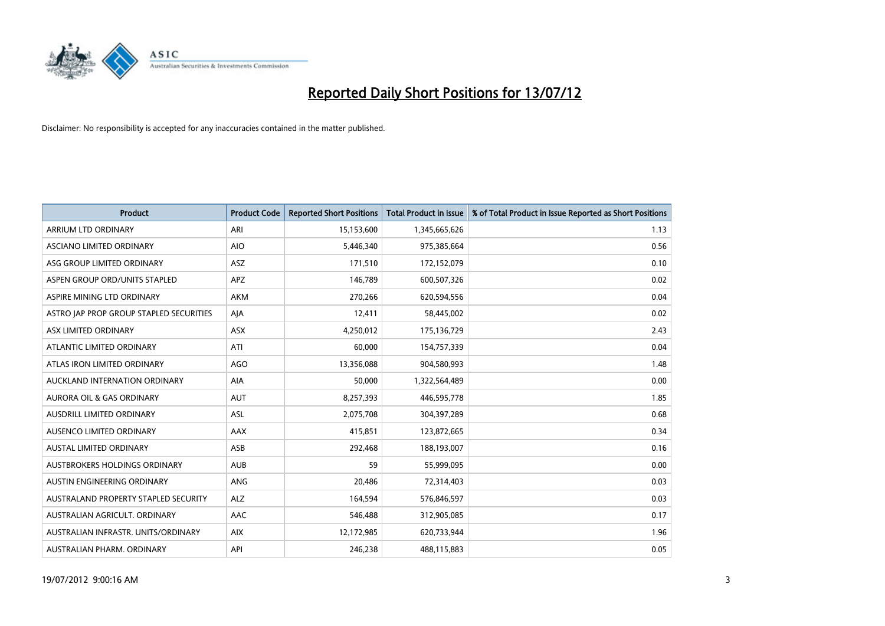

| <b>Product</b>                              | <b>Product Code</b> | <b>Reported Short Positions</b> | <b>Total Product in Issue</b> | % of Total Product in Issue Reported as Short Positions |
|---------------------------------------------|---------------------|---------------------------------|-------------------------------|---------------------------------------------------------|
| ARRIUM LTD ORDINARY                         | ARI                 | 15,153,600                      | 1,345,665,626                 | 1.13                                                    |
| ASCIANO LIMITED ORDINARY                    | <b>AIO</b>          | 5,446,340                       | 975,385,664                   | 0.56                                                    |
| ASG GROUP LIMITED ORDINARY                  | <b>ASZ</b>          | 171,510                         | 172,152,079                   | 0.10                                                    |
| ASPEN GROUP ORD/UNITS STAPLED               | APZ                 | 146,789                         | 600,507,326                   | 0.02                                                    |
| ASPIRE MINING LTD ORDINARY                  | <b>AKM</b>          | 270,266                         | 620,594,556                   | 0.04                                                    |
| ASTRO JAP PROP GROUP STAPLED SECURITIES     | AIA                 | 12,411                          | 58,445,002                    | 0.02                                                    |
| ASX LIMITED ORDINARY                        | <b>ASX</b>          | 4,250,012                       | 175,136,729                   | 2.43                                                    |
| ATLANTIC LIMITED ORDINARY                   | ATI                 | 60,000                          | 154,757,339                   | 0.04                                                    |
| ATLAS IRON LIMITED ORDINARY                 | AGO                 | 13,356,088                      | 904,580,993                   | 1.48                                                    |
| AUCKLAND INTERNATION ORDINARY               | <b>AIA</b>          | 50,000                          | 1,322,564,489                 | 0.00                                                    |
| AURORA OIL & GAS ORDINARY                   | <b>AUT</b>          | 8,257,393                       | 446,595,778                   | 1.85                                                    |
| <b>AUSDRILL LIMITED ORDINARY</b>            | <b>ASL</b>          | 2,075,708                       | 304,397,289                   | 0.68                                                    |
| AUSENCO LIMITED ORDINARY                    | AAX                 | 415,851                         | 123,872,665                   | 0.34                                                    |
| <b>AUSTAL LIMITED ORDINARY</b>              | ASB                 | 292,468                         | 188,193,007                   | 0.16                                                    |
| AUSTBROKERS HOLDINGS ORDINARY               | <b>AUB</b>          | 59                              | 55,999,095                    | 0.00                                                    |
| AUSTIN ENGINEERING ORDINARY                 | <b>ANG</b>          | 20,486                          | 72,314,403                    | 0.03                                                    |
| <b>AUSTRALAND PROPERTY STAPLED SECURITY</b> | <b>ALZ</b>          | 164,594                         | 576,846,597                   | 0.03                                                    |
| AUSTRALIAN AGRICULT. ORDINARY               | AAC                 | 546,488                         | 312,905,085                   | 0.17                                                    |
| AUSTRALIAN INFRASTR, UNITS/ORDINARY         | <b>AIX</b>          | 12,172,985                      | 620,733,944                   | 1.96                                                    |
| AUSTRALIAN PHARM. ORDINARY                  | API                 | 246,238                         | 488,115,883                   | 0.05                                                    |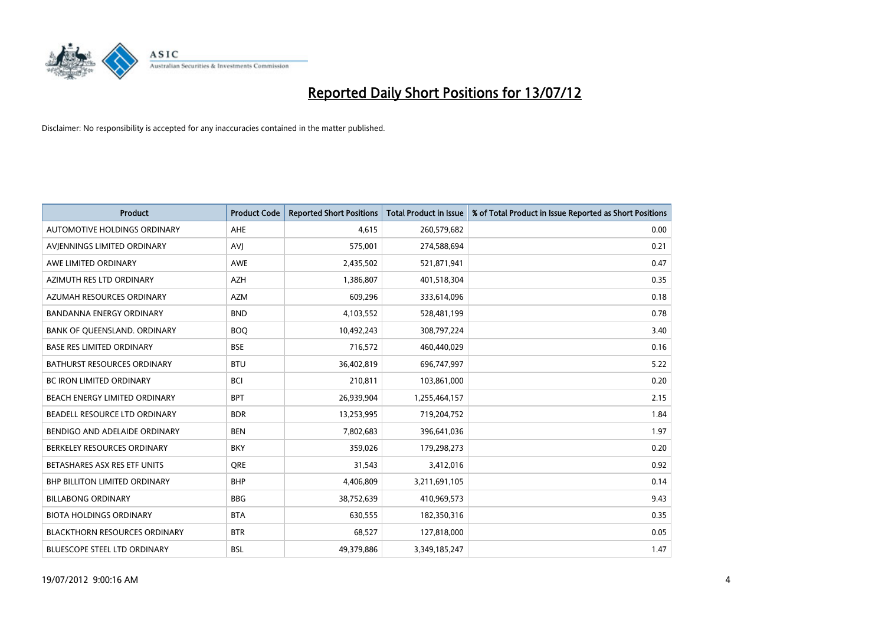

| <b>Product</b>                       | <b>Product Code</b> | <b>Reported Short Positions</b> | <b>Total Product in Issue</b> | % of Total Product in Issue Reported as Short Positions |
|--------------------------------------|---------------------|---------------------------------|-------------------------------|---------------------------------------------------------|
| <b>AUTOMOTIVE HOLDINGS ORDINARY</b>  | <b>AHE</b>          | 4.615                           | 260,579,682                   | 0.00                                                    |
| AVJENNINGS LIMITED ORDINARY          | <b>AVI</b>          | 575,001                         | 274,588,694                   | 0.21                                                    |
| AWE LIMITED ORDINARY                 | <b>AWE</b>          | 2,435,502                       | 521,871,941                   | 0.47                                                    |
| AZIMUTH RES LTD ORDINARY             | <b>AZH</b>          | 1,386,807                       | 401,518,304                   | 0.35                                                    |
| AZUMAH RESOURCES ORDINARY            | <b>AZM</b>          | 609,296                         | 333,614,096                   | 0.18                                                    |
| <b>BANDANNA ENERGY ORDINARY</b>      | <b>BND</b>          | 4,103,552                       | 528,481,199                   | 0.78                                                    |
| BANK OF QUEENSLAND. ORDINARY         | <b>BOO</b>          | 10,492,243                      | 308,797,224                   | 3.40                                                    |
| <b>BASE RES LIMITED ORDINARY</b>     | <b>BSE</b>          | 716,572                         | 460,440,029                   | 0.16                                                    |
| <b>BATHURST RESOURCES ORDINARY</b>   | <b>BTU</b>          | 36,402,819                      | 696,747,997                   | 5.22                                                    |
| <b>BC IRON LIMITED ORDINARY</b>      | <b>BCI</b>          | 210,811                         | 103,861,000                   | 0.20                                                    |
| BEACH ENERGY LIMITED ORDINARY        | <b>BPT</b>          | 26,939,904                      | 1,255,464,157                 | 2.15                                                    |
| BEADELL RESOURCE LTD ORDINARY        | <b>BDR</b>          | 13,253,995                      | 719,204,752                   | 1.84                                                    |
| BENDIGO AND ADELAIDE ORDINARY        | <b>BEN</b>          | 7,802,683                       | 396,641,036                   | 1.97                                                    |
| BERKELEY RESOURCES ORDINARY          | <b>BKY</b>          | 359,026                         | 179,298,273                   | 0.20                                                    |
| BETASHARES ASX RES ETF UNITS         | <b>ORE</b>          | 31,543                          | 3,412,016                     | 0.92                                                    |
| <b>BHP BILLITON LIMITED ORDINARY</b> | <b>BHP</b>          | 4,406,809                       | 3,211,691,105                 | 0.14                                                    |
| <b>BILLABONG ORDINARY</b>            | <b>BBG</b>          | 38,752,639                      | 410,969,573                   | 9.43                                                    |
| <b>BIOTA HOLDINGS ORDINARY</b>       | <b>BTA</b>          | 630,555                         | 182,350,316                   | 0.35                                                    |
| <b>BLACKTHORN RESOURCES ORDINARY</b> | <b>BTR</b>          | 68,527                          | 127,818,000                   | 0.05                                                    |
| BLUESCOPE STEEL LTD ORDINARY         | <b>BSL</b>          | 49,379,886                      | 3,349,185,247                 | 1.47                                                    |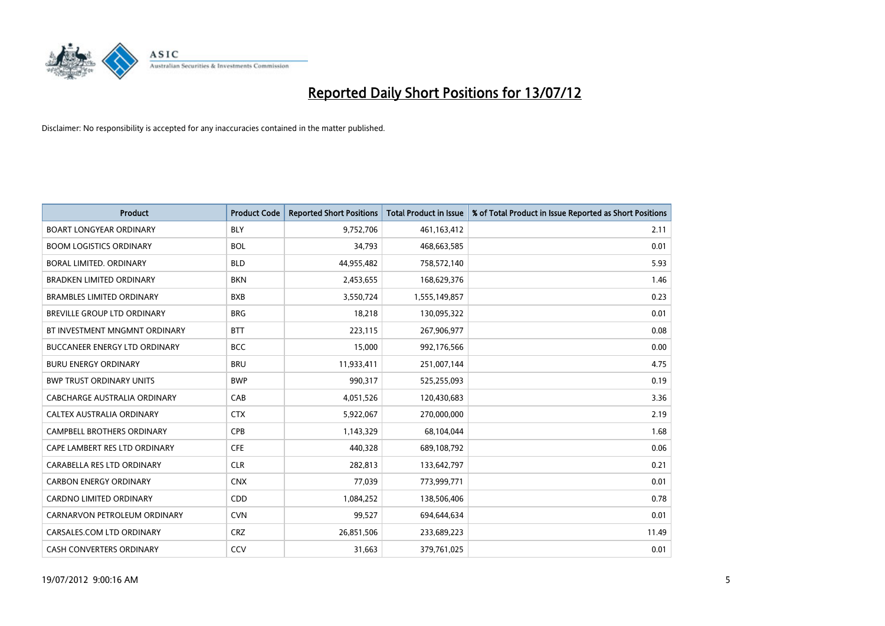

| <b>Product</b>                     | <b>Product Code</b> | <b>Reported Short Positions</b> | <b>Total Product in Issue</b> | % of Total Product in Issue Reported as Short Positions |
|------------------------------------|---------------------|---------------------------------|-------------------------------|---------------------------------------------------------|
| <b>BOART LONGYEAR ORDINARY</b>     | <b>BLY</b>          | 9,752,706                       | 461,163,412                   | 2.11                                                    |
| <b>BOOM LOGISTICS ORDINARY</b>     | <b>BOL</b>          | 34,793                          | 468,663,585                   | 0.01                                                    |
| <b>BORAL LIMITED, ORDINARY</b>     | <b>BLD</b>          | 44,955,482                      | 758,572,140                   | 5.93                                                    |
| <b>BRADKEN LIMITED ORDINARY</b>    | <b>BKN</b>          | 2,453,655                       | 168,629,376                   | 1.46                                                    |
| <b>BRAMBLES LIMITED ORDINARY</b>   | <b>BXB</b>          | 3,550,724                       | 1,555,149,857                 | 0.23                                                    |
| <b>BREVILLE GROUP LTD ORDINARY</b> | <b>BRG</b>          | 18,218                          | 130,095,322                   | 0.01                                                    |
| BT INVESTMENT MNGMNT ORDINARY      | <b>BTT</b>          | 223,115                         | 267,906,977                   | 0.08                                                    |
| BUCCANEER ENERGY LTD ORDINARY      | <b>BCC</b>          | 15,000                          | 992,176,566                   | 0.00                                                    |
| <b>BURU ENERGY ORDINARY</b>        | <b>BRU</b>          | 11,933,411                      | 251,007,144                   | 4.75                                                    |
| <b>BWP TRUST ORDINARY UNITS</b>    | <b>BWP</b>          | 990,317                         | 525,255,093                   | 0.19                                                    |
| CABCHARGE AUSTRALIA ORDINARY       | CAB                 | 4,051,526                       | 120,430,683                   | 3.36                                                    |
| <b>CALTEX AUSTRALIA ORDINARY</b>   | <b>CTX</b>          | 5,922,067                       | 270,000,000                   | 2.19                                                    |
| <b>CAMPBELL BROTHERS ORDINARY</b>  | CPB                 | 1,143,329                       | 68,104,044                    | 1.68                                                    |
| CAPE LAMBERT RES LTD ORDINARY      | <b>CFE</b>          | 440,328                         | 689,108,792                   | 0.06                                                    |
| CARABELLA RES LTD ORDINARY         | <b>CLR</b>          | 282,813                         | 133,642,797                   | 0.21                                                    |
| <b>CARBON ENERGY ORDINARY</b>      | <b>CNX</b>          | 77,039                          | 773,999,771                   | 0.01                                                    |
| CARDNO LIMITED ORDINARY            | <b>CDD</b>          | 1,084,252                       | 138,506,406                   | 0.78                                                    |
| CARNARVON PETROLEUM ORDINARY       | <b>CVN</b>          | 99,527                          | 694,644,634                   | 0.01                                                    |
| CARSALES.COM LTD ORDINARY          | <b>CRZ</b>          | 26,851,506                      | 233,689,223                   | 11.49                                                   |
| <b>CASH CONVERTERS ORDINARY</b>    | CCV                 | 31,663                          | 379,761,025                   | 0.01                                                    |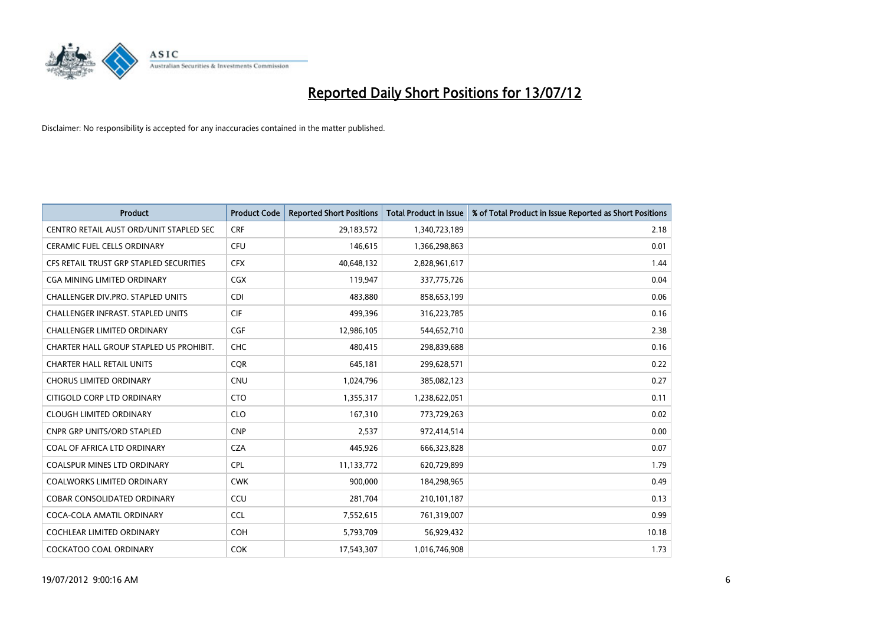

| Product                                 | <b>Product Code</b> | <b>Reported Short Positions</b> | <b>Total Product in Issue</b> | % of Total Product in Issue Reported as Short Positions |
|-----------------------------------------|---------------------|---------------------------------|-------------------------------|---------------------------------------------------------|
| CENTRO RETAIL AUST ORD/UNIT STAPLED SEC | <b>CRF</b>          | 29,183,572                      | 1,340,723,189                 | 2.18                                                    |
| <b>CERAMIC FUEL CELLS ORDINARY</b>      | <b>CFU</b>          | 146.615                         | 1,366,298,863                 | 0.01                                                    |
| CFS RETAIL TRUST GRP STAPLED SECURITIES | <b>CFX</b>          | 40,648,132                      | 2,828,961,617                 | 1.44                                                    |
| CGA MINING LIMITED ORDINARY             | CGX                 | 119,947                         | 337,775,726                   | 0.04                                                    |
| CHALLENGER DIV.PRO. STAPLED UNITS       | <b>CDI</b>          | 483.880                         | 858,653,199                   | 0.06                                                    |
| CHALLENGER INFRAST. STAPLED UNITS       | <b>CIF</b>          | 499,396                         | 316,223,785                   | 0.16                                                    |
| <b>CHALLENGER LIMITED ORDINARY</b>      | <b>CGF</b>          | 12,986,105                      | 544,652,710                   | 2.38                                                    |
| CHARTER HALL GROUP STAPLED US PROHIBIT. | <b>CHC</b>          | 480,415                         | 298,839,688                   | 0.16                                                    |
| <b>CHARTER HALL RETAIL UNITS</b>        | <b>CQR</b>          | 645,181                         | 299,628,571                   | 0.22                                                    |
| <b>CHORUS LIMITED ORDINARY</b>          | <b>CNU</b>          | 1,024,796                       | 385,082,123                   | 0.27                                                    |
| CITIGOLD CORP LTD ORDINARY              | <b>CTO</b>          | 1,355,317                       | 1,238,622,051                 | 0.11                                                    |
| <b>CLOUGH LIMITED ORDINARY</b>          | <b>CLO</b>          | 167,310                         | 773,729,263                   | 0.02                                                    |
| <b>CNPR GRP UNITS/ORD STAPLED</b>       | <b>CNP</b>          | 2.537                           | 972,414,514                   | 0.00                                                    |
| COAL OF AFRICA LTD ORDINARY             | <b>CZA</b>          | 445.926                         | 666,323,828                   | 0.07                                                    |
| <b>COALSPUR MINES LTD ORDINARY</b>      | <b>CPL</b>          | 11,133,772                      | 620,729,899                   | 1.79                                                    |
| <b>COALWORKS LIMITED ORDINARY</b>       | <b>CWK</b>          | 900.000                         | 184,298,965                   | 0.49                                                    |
| <b>COBAR CONSOLIDATED ORDINARY</b>      | CCU                 | 281,704                         | 210,101,187                   | 0.13                                                    |
| COCA-COLA AMATIL ORDINARY               | <b>CCL</b>          | 7,552,615                       | 761,319,007                   | 0.99                                                    |
| <b>COCHLEAR LIMITED ORDINARY</b>        | <b>COH</b>          | 5,793,709                       | 56,929,432                    | 10.18                                                   |
| <b>COCKATOO COAL ORDINARY</b>           | <b>COK</b>          | 17,543,307                      | 1,016,746,908                 | 1.73                                                    |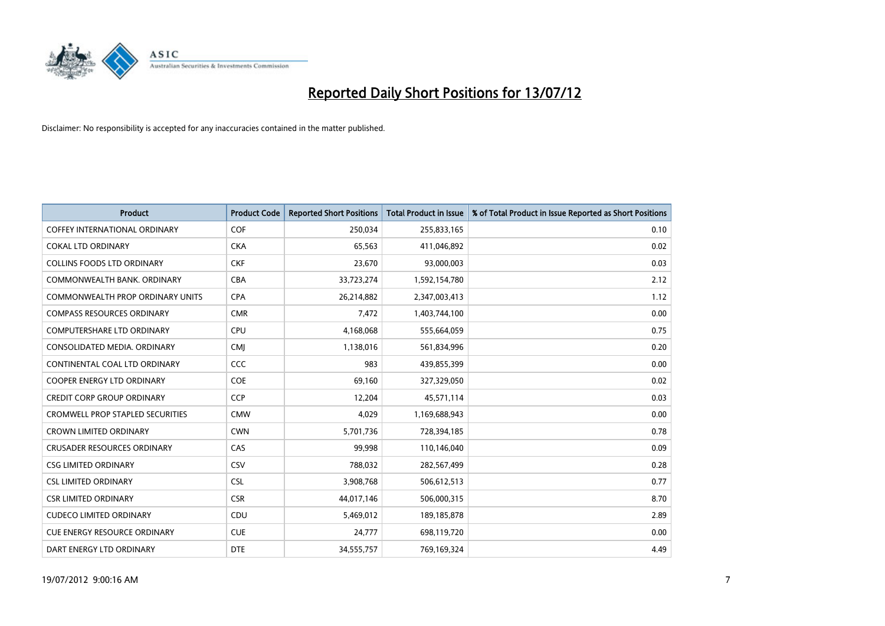

| <b>Product</b>                          | <b>Product Code</b> | <b>Reported Short Positions</b> | <b>Total Product in Issue</b> | % of Total Product in Issue Reported as Short Positions |
|-----------------------------------------|---------------------|---------------------------------|-------------------------------|---------------------------------------------------------|
| <b>COFFEY INTERNATIONAL ORDINARY</b>    | <b>COF</b>          | 250,034                         | 255,833,165                   | 0.10                                                    |
| <b>COKAL LTD ORDINARY</b>               | <b>CKA</b>          | 65,563                          | 411,046,892                   | 0.02                                                    |
| <b>COLLINS FOODS LTD ORDINARY</b>       | <b>CKF</b>          | 23,670                          | 93,000,003                    | 0.03                                                    |
| COMMONWEALTH BANK, ORDINARY             | CBA                 | 33,723,274                      | 1,592,154,780                 | 2.12                                                    |
| <b>COMMONWEALTH PROP ORDINARY UNITS</b> | <b>CPA</b>          | 26,214,882                      | 2,347,003,413                 | 1.12                                                    |
| <b>COMPASS RESOURCES ORDINARY</b>       | <b>CMR</b>          | 7,472                           | 1,403,744,100                 | 0.00                                                    |
| <b>COMPUTERSHARE LTD ORDINARY</b>       | <b>CPU</b>          | 4,168,068                       | 555,664,059                   | 0.75                                                    |
| CONSOLIDATED MEDIA, ORDINARY            | <b>CMI</b>          | 1,138,016                       | 561,834,996                   | 0.20                                                    |
| CONTINENTAL COAL LTD ORDINARY           | CCC                 | 983                             | 439,855,399                   | 0.00                                                    |
| <b>COOPER ENERGY LTD ORDINARY</b>       | <b>COE</b>          | 69,160                          | 327,329,050                   | 0.02                                                    |
| <b>CREDIT CORP GROUP ORDINARY</b>       | <b>CCP</b>          | 12,204                          | 45,571,114                    | 0.03                                                    |
| <b>CROMWELL PROP STAPLED SECURITIES</b> | <b>CMW</b>          | 4,029                           | 1,169,688,943                 | 0.00                                                    |
| <b>CROWN LIMITED ORDINARY</b>           | <b>CWN</b>          | 5,701,736                       | 728,394,185                   | 0.78                                                    |
| <b>CRUSADER RESOURCES ORDINARY</b>      | CAS                 | 99,998                          | 110,146,040                   | 0.09                                                    |
| <b>CSG LIMITED ORDINARY</b>             | CSV                 | 788,032                         | 282,567,499                   | 0.28                                                    |
| <b>CSL LIMITED ORDINARY</b>             | <b>CSL</b>          | 3,908,768                       | 506,612,513                   | 0.77                                                    |
| <b>CSR LIMITED ORDINARY</b>             | <b>CSR</b>          | 44,017,146                      | 506,000,315                   | 8.70                                                    |
| <b>CUDECO LIMITED ORDINARY</b>          | CDU                 | 5,469,012                       | 189, 185, 878                 | 2.89                                                    |
| <b>CUE ENERGY RESOURCE ORDINARY</b>     | <b>CUE</b>          | 24,777                          | 698,119,720                   | 0.00                                                    |
| DART ENERGY LTD ORDINARY                | <b>DTE</b>          | 34,555,757                      | 769,169,324                   | 4.49                                                    |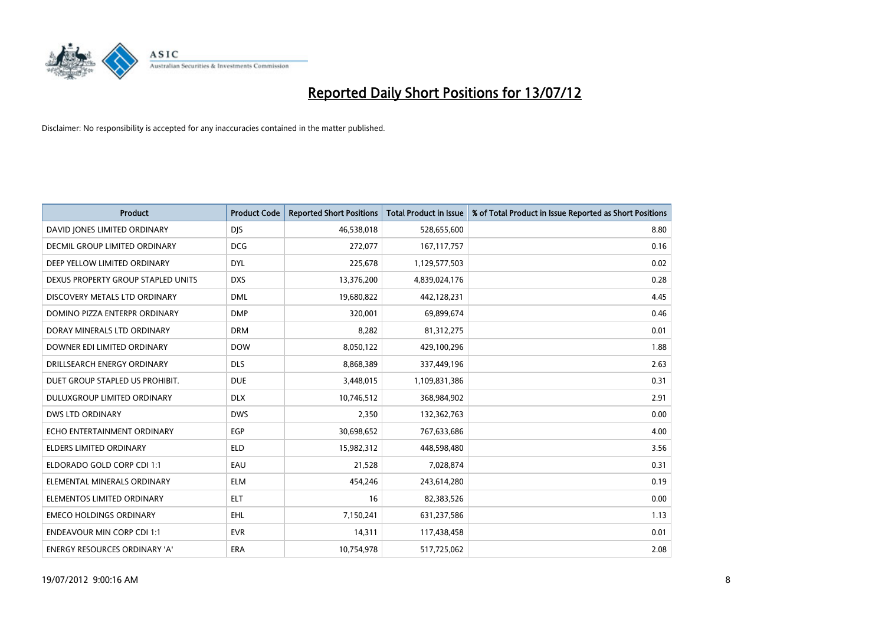

| <b>Product</b>                       | <b>Product Code</b> | <b>Reported Short Positions</b> | <b>Total Product in Issue</b> | % of Total Product in Issue Reported as Short Positions |
|--------------------------------------|---------------------|---------------------------------|-------------------------------|---------------------------------------------------------|
| DAVID JONES LIMITED ORDINARY         | <b>DJS</b>          | 46,538,018                      | 528,655,600                   | 8.80                                                    |
| <b>DECMIL GROUP LIMITED ORDINARY</b> | <b>DCG</b>          | 272,077                         | 167, 117, 757                 | 0.16                                                    |
| DEEP YELLOW LIMITED ORDINARY         | <b>DYL</b>          | 225,678                         | 1,129,577,503                 | 0.02                                                    |
| DEXUS PROPERTY GROUP STAPLED UNITS   | <b>DXS</b>          | 13,376,200                      | 4,839,024,176                 | 0.28                                                    |
| DISCOVERY METALS LTD ORDINARY        | <b>DML</b>          | 19,680,822                      | 442,128,231                   | 4.45                                                    |
| DOMINO PIZZA ENTERPR ORDINARY        | <b>DMP</b>          | 320,001                         | 69,899,674                    | 0.46                                                    |
| DORAY MINERALS LTD ORDINARY          | <b>DRM</b>          | 8,282                           | 81,312,275                    | 0.01                                                    |
| DOWNER EDI LIMITED ORDINARY          | <b>DOW</b>          | 8,050,122                       | 429,100,296                   | 1.88                                                    |
| DRILLSEARCH ENERGY ORDINARY          | <b>DLS</b>          | 8,868,389                       | 337,449,196                   | 2.63                                                    |
| DUET GROUP STAPLED US PROHIBIT.      | <b>DUE</b>          | 3,448,015                       | 1,109,831,386                 | 0.31                                                    |
| DULUXGROUP LIMITED ORDINARY          | <b>DLX</b>          | 10,746,512                      | 368,984,902                   | 2.91                                                    |
| <b>DWS LTD ORDINARY</b>              | <b>DWS</b>          | 2,350                           | 132,362,763                   | 0.00                                                    |
| ECHO ENTERTAINMENT ORDINARY          | EGP                 | 30,698,652                      | 767,633,686                   | 4.00                                                    |
| <b>ELDERS LIMITED ORDINARY</b>       | <b>ELD</b>          | 15,982,312                      | 448,598,480                   | 3.56                                                    |
| ELDORADO GOLD CORP CDI 1:1           | EAU                 | 21,528                          | 7,028,874                     | 0.31                                                    |
| ELEMENTAL MINERALS ORDINARY          | <b>ELM</b>          | 454,246                         | 243,614,280                   | 0.19                                                    |
| ELEMENTOS LIMITED ORDINARY           | <b>ELT</b>          | 16                              | 82,383,526                    | 0.00                                                    |
| <b>EMECO HOLDINGS ORDINARY</b>       | <b>EHL</b>          | 7,150,241                       | 631,237,586                   | 1.13                                                    |
| <b>ENDEAVOUR MIN CORP CDI 1:1</b>    | <b>EVR</b>          | 14,311                          | 117,438,458                   | 0.01                                                    |
| ENERGY RESOURCES ORDINARY 'A'        | ERA                 | 10,754,978                      | 517,725,062                   | 2.08                                                    |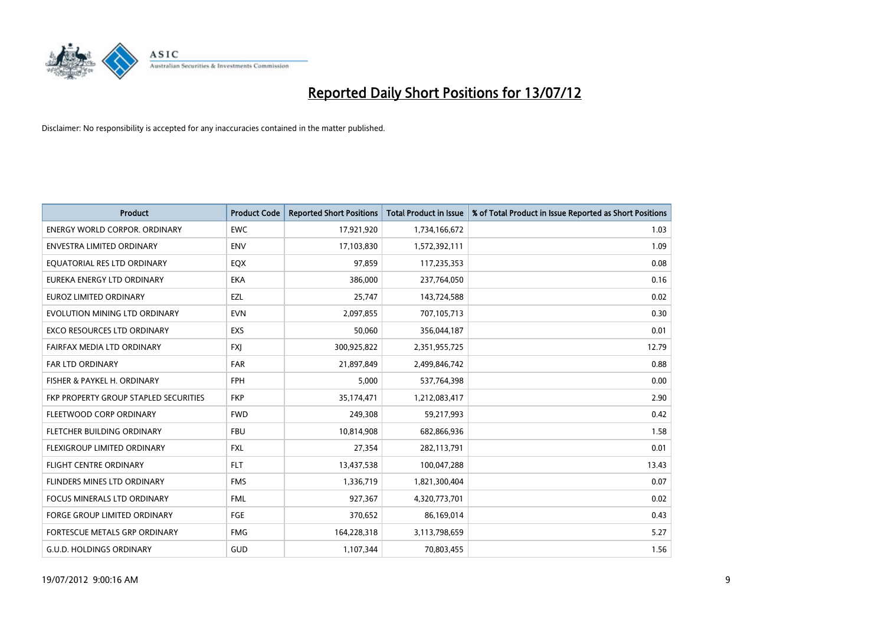

| <b>Product</b>                        | <b>Product Code</b> | <b>Reported Short Positions</b> | <b>Total Product in Issue</b> | % of Total Product in Issue Reported as Short Positions |
|---------------------------------------|---------------------|---------------------------------|-------------------------------|---------------------------------------------------------|
| <b>ENERGY WORLD CORPOR, ORDINARY</b>  | <b>EWC</b>          | 17,921,920                      | 1,734,166,672                 | 1.03                                                    |
| <b>ENVESTRA LIMITED ORDINARY</b>      | <b>ENV</b>          | 17,103,830                      | 1,572,392,111                 | 1.09                                                    |
| EQUATORIAL RES LTD ORDINARY           | EQX                 | 97,859                          | 117,235,353                   | 0.08                                                    |
| EUREKA ENERGY LTD ORDINARY            | <b>EKA</b>          | 386,000                         | 237,764,050                   | 0.16                                                    |
| <b>EUROZ LIMITED ORDINARY</b>         | EZL                 | 25.747                          | 143,724,588                   | 0.02                                                    |
| EVOLUTION MINING LTD ORDINARY         | <b>EVN</b>          | 2,097,855                       | 707,105,713                   | 0.30                                                    |
| <b>EXCO RESOURCES LTD ORDINARY</b>    | EXS                 | 50.060                          | 356,044,187                   | 0.01                                                    |
| FAIRFAX MEDIA LTD ORDINARY            | <b>FXI</b>          | 300,925,822                     | 2,351,955,725                 | 12.79                                                   |
| <b>FAR LTD ORDINARY</b>               | <b>FAR</b>          | 21,897,849                      | 2,499,846,742                 | 0.88                                                    |
| FISHER & PAYKEL H. ORDINARY           | <b>FPH</b>          | 5.000                           | 537,764,398                   | 0.00                                                    |
| FKP PROPERTY GROUP STAPLED SECURITIES | <b>FKP</b>          | 35,174,471                      | 1,212,083,417                 | 2.90                                                    |
| FLEETWOOD CORP ORDINARY               | <b>FWD</b>          | 249,308                         | 59,217,993                    | 0.42                                                    |
| FLETCHER BUILDING ORDINARY            | <b>FBU</b>          | 10.814.908                      | 682,866,936                   | 1.58                                                    |
| FLEXIGROUP LIMITED ORDINARY           | <b>FXL</b>          | 27,354                          | 282,113,791                   | 0.01                                                    |
| <b>FLIGHT CENTRE ORDINARY</b>         | <b>FLT</b>          | 13,437,538                      | 100,047,288                   | 13.43                                                   |
| FLINDERS MINES LTD ORDINARY           | <b>FMS</b>          | 1,336,719                       | 1,821,300,404                 | 0.07                                                    |
| <b>FOCUS MINERALS LTD ORDINARY</b>    | <b>FML</b>          | 927,367                         | 4,320,773,701                 | 0.02                                                    |
| FORGE GROUP LIMITED ORDINARY          | FGE                 | 370,652                         | 86,169,014                    | 0.43                                                    |
| <b>FORTESCUE METALS GRP ORDINARY</b>  | <b>FMG</b>          | 164,228,318                     | 3,113,798,659                 | 5.27                                                    |
| <b>G.U.D. HOLDINGS ORDINARY</b>       | <b>GUD</b>          | 1,107,344                       | 70,803,455                    | 1.56                                                    |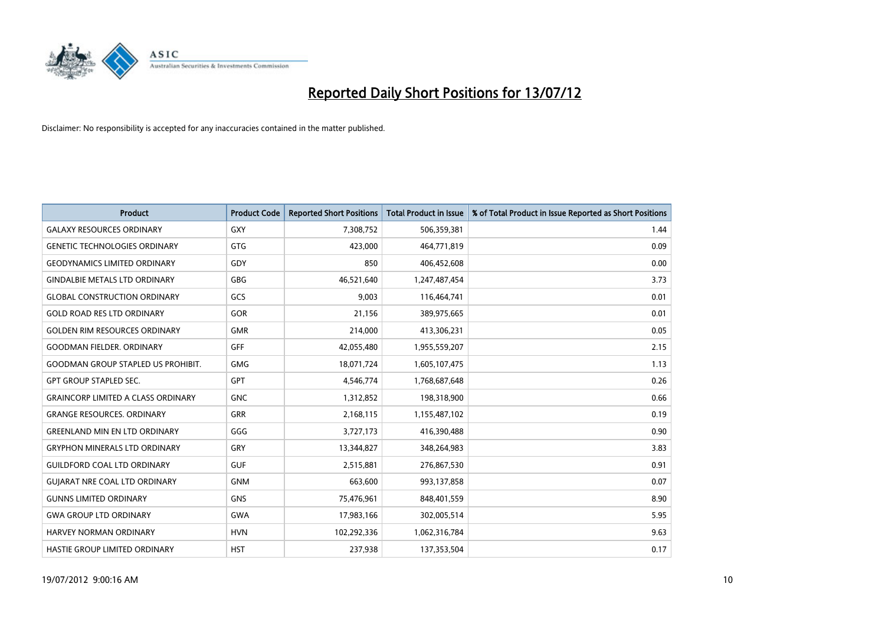

| <b>Product</b>                            | <b>Product Code</b> | <b>Reported Short Positions</b> | <b>Total Product in Issue</b> | % of Total Product in Issue Reported as Short Positions |
|-------------------------------------------|---------------------|---------------------------------|-------------------------------|---------------------------------------------------------|
| <b>GALAXY RESOURCES ORDINARY</b>          | <b>GXY</b>          | 7,308,752                       | 506,359,381                   | 1.44                                                    |
| <b>GENETIC TECHNOLOGIES ORDINARY</b>      | <b>GTG</b>          | 423,000                         | 464,771,819                   | 0.09                                                    |
| <b>GEODYNAMICS LIMITED ORDINARY</b>       | GDY                 | 850                             | 406,452,608                   | 0.00                                                    |
| <b>GINDALBIE METALS LTD ORDINARY</b>      | <b>GBG</b>          | 46,521,640                      | 1,247,487,454                 | 3.73                                                    |
| <b>GLOBAL CONSTRUCTION ORDINARY</b>       | GCS                 | 9,003                           | 116,464,741                   | 0.01                                                    |
| <b>GOLD ROAD RES LTD ORDINARY</b>         | GOR                 | 21,156                          | 389,975,665                   | 0.01                                                    |
| <b>GOLDEN RIM RESOURCES ORDINARY</b>      | <b>GMR</b>          | 214,000                         | 413,306,231                   | 0.05                                                    |
| <b>GOODMAN FIELDER. ORDINARY</b>          | <b>GFF</b>          | 42,055,480                      | 1,955,559,207                 | 2.15                                                    |
| <b>GOODMAN GROUP STAPLED US PROHIBIT.</b> | <b>GMG</b>          | 18,071,724                      | 1,605,107,475                 | 1.13                                                    |
| <b>GPT GROUP STAPLED SEC.</b>             | <b>GPT</b>          | 4,546,774                       | 1,768,687,648                 | 0.26                                                    |
| <b>GRAINCORP LIMITED A CLASS ORDINARY</b> | <b>GNC</b>          | 1,312,852                       | 198,318,900                   | 0.66                                                    |
| <b>GRANGE RESOURCES, ORDINARY</b>         | <b>GRR</b>          | 2,168,115                       | 1,155,487,102                 | 0.19                                                    |
| <b>GREENLAND MIN EN LTD ORDINARY</b>      | GGG                 | 3,727,173                       | 416,390,488                   | 0.90                                                    |
| <b>GRYPHON MINERALS LTD ORDINARY</b>      | GRY                 | 13,344,827                      | 348,264,983                   | 3.83                                                    |
| <b>GUILDFORD COAL LTD ORDINARY</b>        | <b>GUF</b>          | 2,515,881                       | 276,867,530                   | 0.91                                                    |
| <b>GUIARAT NRE COAL LTD ORDINARY</b>      | <b>GNM</b>          | 663,600                         | 993,137,858                   | 0.07                                                    |
| <b>GUNNS LIMITED ORDINARY</b>             | <b>GNS</b>          | 75,476,961                      | 848,401,559                   | 8.90                                                    |
| <b>GWA GROUP LTD ORDINARY</b>             | <b>GWA</b>          | 17,983,166                      | 302,005,514                   | 5.95                                                    |
| <b>HARVEY NORMAN ORDINARY</b>             | <b>HVN</b>          | 102,292,336                     | 1,062,316,784                 | 9.63                                                    |
| HASTIE GROUP LIMITED ORDINARY             | <b>HST</b>          | 237,938                         | 137,353,504                   | 0.17                                                    |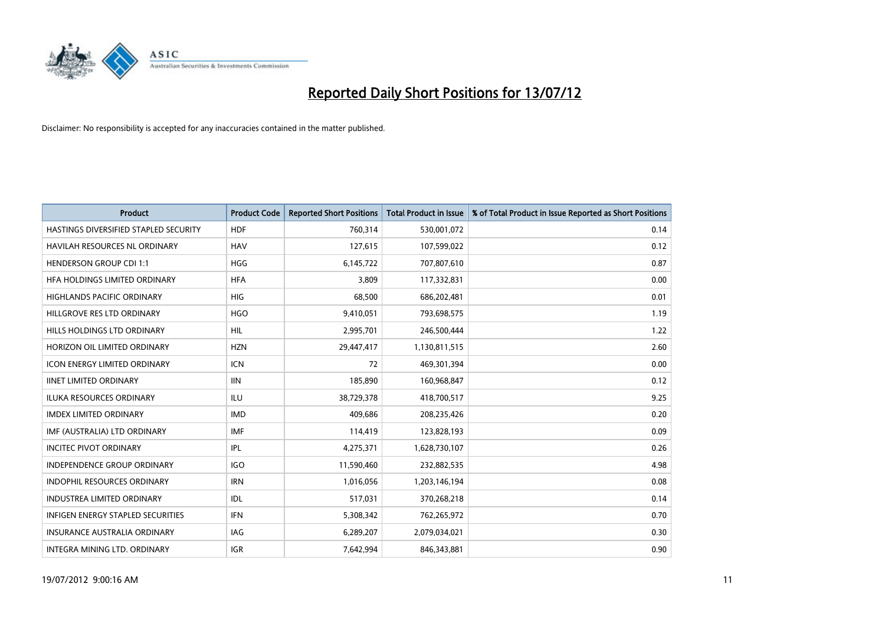

| <b>Product</b>                        | <b>Product Code</b> | <b>Reported Short Positions</b> | <b>Total Product in Issue</b> | % of Total Product in Issue Reported as Short Positions |
|---------------------------------------|---------------------|---------------------------------|-------------------------------|---------------------------------------------------------|
| HASTINGS DIVERSIFIED STAPLED SECURITY | <b>HDF</b>          | 760,314                         | 530,001,072                   | 0.14                                                    |
| <b>HAVILAH RESOURCES NL ORDINARY</b>  | <b>HAV</b>          | 127,615                         | 107,599,022                   | 0.12                                                    |
| <b>HENDERSON GROUP CDI 1:1</b>        | <b>HGG</b>          | 6,145,722                       | 707,807,610                   | 0.87                                                    |
| HFA HOLDINGS LIMITED ORDINARY         | <b>HFA</b>          | 3,809                           | 117,332,831                   | 0.00                                                    |
| <b>HIGHLANDS PACIFIC ORDINARY</b>     | <b>HIG</b>          | 68,500                          | 686,202,481                   | 0.01                                                    |
| HILLGROVE RES LTD ORDINARY            | <b>HGO</b>          | 9,410,051                       | 793,698,575                   | 1.19                                                    |
| HILLS HOLDINGS LTD ORDINARY           | HIL.                | 2,995,701                       | 246,500,444                   | 1.22                                                    |
| HORIZON OIL LIMITED ORDINARY          | <b>HZN</b>          | 29,447,417                      | 1,130,811,515                 | 2.60                                                    |
| <b>ICON ENERGY LIMITED ORDINARY</b>   | <b>ICN</b>          | 72                              | 469,301,394                   | 0.00                                                    |
| <b>IINET LIMITED ORDINARY</b>         | <b>IIN</b>          | 185,890                         | 160,968,847                   | 0.12                                                    |
| ILUKA RESOURCES ORDINARY              | ILU                 | 38,729,378                      | 418,700,517                   | 9.25                                                    |
| <b>IMDEX LIMITED ORDINARY</b>         | <b>IMD</b>          | 409,686                         | 208,235,426                   | 0.20                                                    |
| IMF (AUSTRALIA) LTD ORDINARY          | <b>IMF</b>          | 114,419                         | 123,828,193                   | 0.09                                                    |
| <b>INCITEC PIVOT ORDINARY</b>         | IPL                 | 4,275,371                       | 1,628,730,107                 | 0.26                                                    |
| <b>INDEPENDENCE GROUP ORDINARY</b>    | <b>IGO</b>          | 11,590,460                      | 232,882,535                   | 4.98                                                    |
| INDOPHIL RESOURCES ORDINARY           | <b>IRN</b>          | 1,016,056                       | 1,203,146,194                 | 0.08                                                    |
| INDUSTREA LIMITED ORDINARY            | IDL                 | 517,031                         | 370,268,218                   | 0.14                                                    |
| INFIGEN ENERGY STAPLED SECURITIES     | <b>IFN</b>          | 5,308,342                       | 762,265,972                   | 0.70                                                    |
| <b>INSURANCE AUSTRALIA ORDINARY</b>   | IAG                 | 6,289,207                       | 2,079,034,021                 | 0.30                                                    |
| INTEGRA MINING LTD. ORDINARY          | <b>IGR</b>          | 7,642,994                       | 846,343,881                   | 0.90                                                    |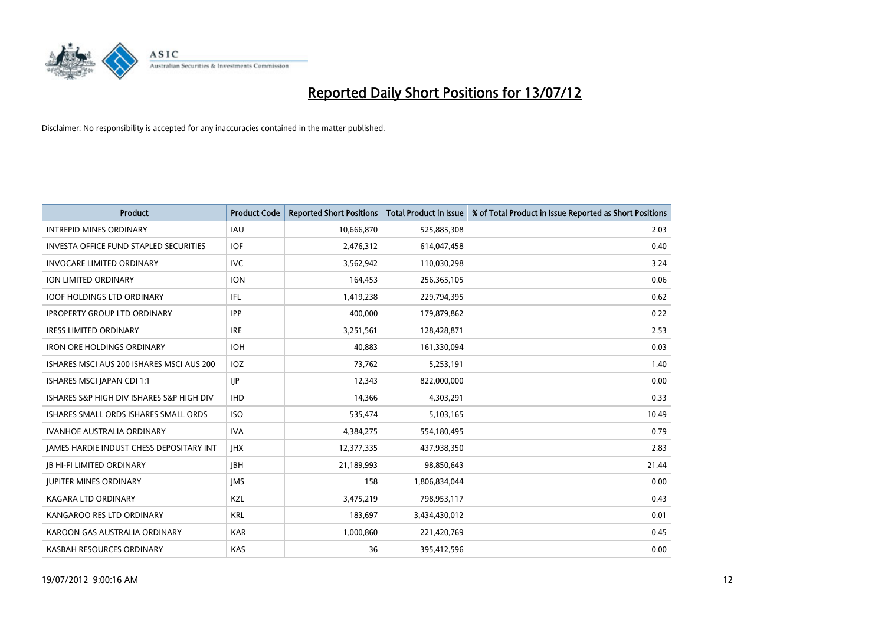

| <b>Product</b>                                  | <b>Product Code</b> | <b>Reported Short Positions</b> | <b>Total Product in Issue</b> | % of Total Product in Issue Reported as Short Positions |
|-------------------------------------------------|---------------------|---------------------------------|-------------------------------|---------------------------------------------------------|
| <b>INTREPID MINES ORDINARY</b>                  | <b>IAU</b>          | 10,666,870                      | 525,885,308                   | 2.03                                                    |
| <b>INVESTA OFFICE FUND STAPLED SECURITIES</b>   | <b>IOF</b>          | 2,476,312                       | 614,047,458                   | 0.40                                                    |
| <b>INVOCARE LIMITED ORDINARY</b>                | <b>IVC</b>          | 3,562,942                       | 110,030,298                   | 3.24                                                    |
| ION LIMITED ORDINARY                            | <b>ION</b>          | 164,453                         | 256,365,105                   | 0.06                                                    |
| <b>IOOF HOLDINGS LTD ORDINARY</b>               | <b>IFL</b>          | 1,419,238                       | 229,794,395                   | 0.62                                                    |
| <b>IPROPERTY GROUP LTD ORDINARY</b>             | <b>IPP</b>          | 400,000                         | 179,879,862                   | 0.22                                                    |
| <b>IRESS LIMITED ORDINARY</b>                   | <b>IRE</b>          | 3,251,561                       | 128,428,871                   | 2.53                                                    |
| <b>IRON ORE HOLDINGS ORDINARY</b>               | <b>IOH</b>          | 40,883                          | 161,330,094                   | 0.03                                                    |
| ISHARES MSCI AUS 200 ISHARES MSCI AUS 200       | <b>IOZ</b>          | 73,762                          | 5,253,191                     | 1.40                                                    |
| ISHARES MSCI JAPAN CDI 1:1                      | <b>IIP</b>          | 12,343                          | 822,000,000                   | 0.00                                                    |
| ISHARES S&P HIGH DIV ISHARES S&P HIGH DIV       | <b>IHD</b>          | 14,366                          | 4,303,291                     | 0.33                                                    |
| ISHARES SMALL ORDS ISHARES SMALL ORDS           | <b>ISO</b>          | 535,474                         | 5,103,165                     | 10.49                                                   |
| <b>IVANHOE AUSTRALIA ORDINARY</b>               | <b>IVA</b>          | 4,384,275                       | 554,180,495                   | 0.79                                                    |
| <b>IAMES HARDIE INDUST CHESS DEPOSITARY INT</b> | <b>IHX</b>          | 12,377,335                      | 437,938,350                   | 2.83                                                    |
| <b>JB HI-FI LIMITED ORDINARY</b>                | <b>IBH</b>          | 21,189,993                      | 98,850,643                    | 21.44                                                   |
| <b>JUPITER MINES ORDINARY</b>                   | <b>IMS</b>          | 158                             | 1,806,834,044                 | 0.00                                                    |
| <b>KAGARA LTD ORDINARY</b>                      | <b>KZL</b>          | 3,475,219                       | 798,953,117                   | 0.43                                                    |
| KANGAROO RES LTD ORDINARY                       | <b>KRL</b>          | 183,697                         | 3,434,430,012                 | 0.01                                                    |
| KAROON GAS AUSTRALIA ORDINARY                   | <b>KAR</b>          | 1,000,860                       | 221,420,769                   | 0.45                                                    |
| KASBAH RESOURCES ORDINARY                       | <b>KAS</b>          | 36                              | 395,412,596                   | 0.00                                                    |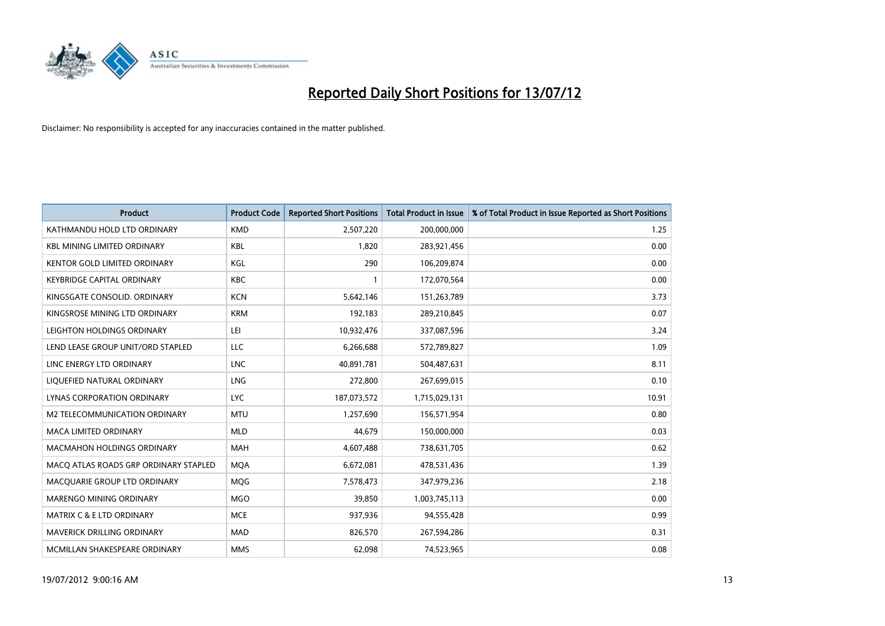

| <b>Product</b>                        | <b>Product Code</b> | <b>Reported Short Positions</b> | <b>Total Product in Issue</b> | % of Total Product in Issue Reported as Short Positions |
|---------------------------------------|---------------------|---------------------------------|-------------------------------|---------------------------------------------------------|
| KATHMANDU HOLD LTD ORDINARY           | <b>KMD</b>          | 2,507,220                       | 200,000,000                   | 1.25                                                    |
| <b>KBL MINING LIMITED ORDINARY</b>    | <b>KBL</b>          | 1,820                           | 283,921,456                   | 0.00                                                    |
| <b>KENTOR GOLD LIMITED ORDINARY</b>   | KGL                 | 290                             | 106,209,874                   | 0.00                                                    |
| KEYBRIDGE CAPITAL ORDINARY            | <b>KBC</b>          |                                 | 172,070,564                   | 0.00                                                    |
| KINGSGATE CONSOLID. ORDINARY          | <b>KCN</b>          | 5,642,146                       | 151,263,789                   | 3.73                                                    |
| KINGSROSE MINING LTD ORDINARY         | <b>KRM</b>          | 192,183                         | 289,210,845                   | 0.07                                                    |
| LEIGHTON HOLDINGS ORDINARY            | LEI                 | 10,932,476                      | 337,087,596                   | 3.24                                                    |
| LEND LEASE GROUP UNIT/ORD STAPLED     | LLC                 | 6,266,688                       | 572,789,827                   | 1.09                                                    |
| LINC ENERGY LTD ORDINARY              | <b>LNC</b>          | 40,891,781                      | 504,487,631                   | 8.11                                                    |
| LIOUEFIED NATURAL ORDINARY            | <b>LNG</b>          | 272,800                         | 267,699,015                   | 0.10                                                    |
| <b>LYNAS CORPORATION ORDINARY</b>     | <b>LYC</b>          | 187,073,572                     | 1,715,029,131                 | 10.91                                                   |
| M2 TELECOMMUNICATION ORDINARY         | <b>MTU</b>          | 1,257,690                       | 156,571,954                   | 0.80                                                    |
| <b>MACA LIMITED ORDINARY</b>          | <b>MLD</b>          | 44,679                          | 150,000,000                   | 0.03                                                    |
| <b>MACMAHON HOLDINGS ORDINARY</b>     | <b>MAH</b>          | 4,607,488                       | 738,631,705                   | 0.62                                                    |
| MACQ ATLAS ROADS GRP ORDINARY STAPLED | <b>MOA</b>          | 6,672,081                       | 478,531,436                   | 1.39                                                    |
| MACQUARIE GROUP LTD ORDINARY          | <b>MOG</b>          | 7,578,473                       | 347,979,236                   | 2.18                                                    |
| MARENGO MINING ORDINARY               | <b>MGO</b>          | 39,850                          | 1,003,745,113                 | 0.00                                                    |
| <b>MATRIX C &amp; E LTD ORDINARY</b>  | <b>MCE</b>          | 937,936                         | 94,555,428                    | 0.99                                                    |
| MAVERICK DRILLING ORDINARY            | <b>MAD</b>          | 826,570                         | 267,594,286                   | 0.31                                                    |
| MCMILLAN SHAKESPEARE ORDINARY         | <b>MMS</b>          | 62,098                          | 74,523,965                    | 0.08                                                    |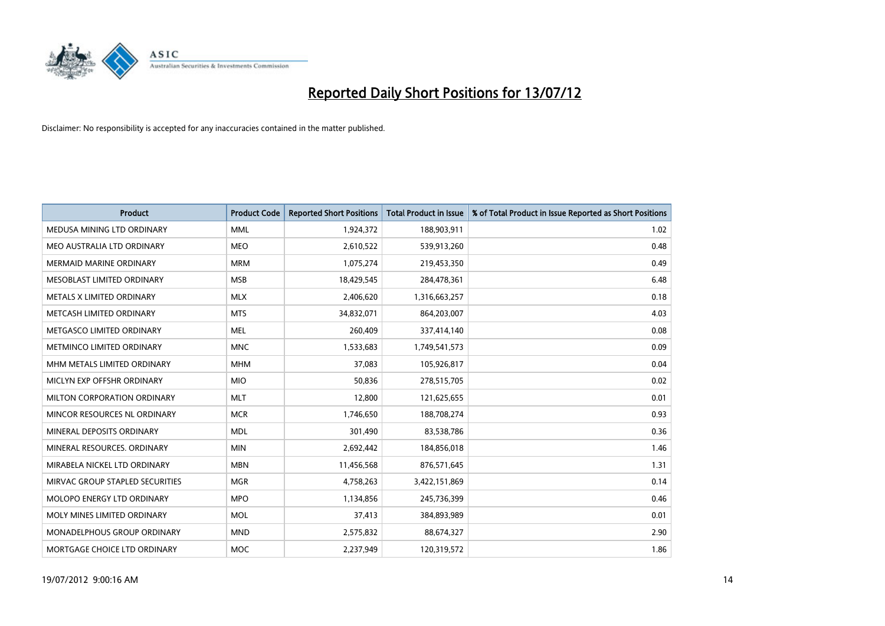

| <b>Product</b>                     | <b>Product Code</b> | <b>Reported Short Positions</b> | <b>Total Product in Issue</b> | % of Total Product in Issue Reported as Short Positions |
|------------------------------------|---------------------|---------------------------------|-------------------------------|---------------------------------------------------------|
| MEDUSA MINING LTD ORDINARY         | <b>MML</b>          | 1,924,372                       | 188,903,911                   | 1.02                                                    |
| MEO AUSTRALIA LTD ORDINARY         | <b>MEO</b>          | 2,610,522                       | 539,913,260                   | 0.48                                                    |
| <b>MERMAID MARINE ORDINARY</b>     | <b>MRM</b>          | 1,075,274                       | 219,453,350                   | 0.49                                                    |
| MESOBLAST LIMITED ORDINARY         | <b>MSB</b>          | 18,429,545                      | 284,478,361                   | 6.48                                                    |
| METALS X LIMITED ORDINARY          | <b>MLX</b>          | 2,406,620                       | 1,316,663,257                 | 0.18                                                    |
| METCASH LIMITED ORDINARY           | <b>MTS</b>          | 34,832,071                      | 864,203,007                   | 4.03                                                    |
| METGASCO LIMITED ORDINARY          | <b>MEL</b>          | 260,409                         | 337,414,140                   | 0.08                                                    |
| METMINCO LIMITED ORDINARY          | <b>MNC</b>          | 1,533,683                       | 1,749,541,573                 | 0.09                                                    |
| MHM METALS LIMITED ORDINARY        | <b>MHM</b>          | 37,083                          | 105,926,817                   | 0.04                                                    |
| MICLYN EXP OFFSHR ORDINARY         | <b>MIO</b>          | 50,836                          | 278,515,705                   | 0.02                                                    |
| MILTON CORPORATION ORDINARY        | <b>MLT</b>          | 12,800                          | 121,625,655                   | 0.01                                                    |
| MINCOR RESOURCES NL ORDINARY       | <b>MCR</b>          | 1,746,650                       | 188,708,274                   | 0.93                                                    |
| MINERAL DEPOSITS ORDINARY          | <b>MDL</b>          | 301,490                         | 83,538,786                    | 0.36                                                    |
| MINERAL RESOURCES, ORDINARY        | <b>MIN</b>          | 2,692,442                       | 184,856,018                   | 1.46                                                    |
| MIRABELA NICKEL LTD ORDINARY       | <b>MBN</b>          | 11,456,568                      | 876,571,645                   | 1.31                                                    |
| MIRVAC GROUP STAPLED SECURITIES    | <b>MGR</b>          | 4,758,263                       | 3,422,151,869                 | 0.14                                                    |
| MOLOPO ENERGY LTD ORDINARY         | <b>MPO</b>          | 1,134,856                       | 245,736,399                   | 0.46                                                    |
| MOLY MINES LIMITED ORDINARY        | <b>MOL</b>          | 37,413                          | 384,893,989                   | 0.01                                                    |
| <b>MONADELPHOUS GROUP ORDINARY</b> | <b>MND</b>          | 2,575,832                       | 88,674,327                    | 2.90                                                    |
| MORTGAGE CHOICE LTD ORDINARY       | <b>MOC</b>          | 2,237,949                       | 120,319,572                   | 1.86                                                    |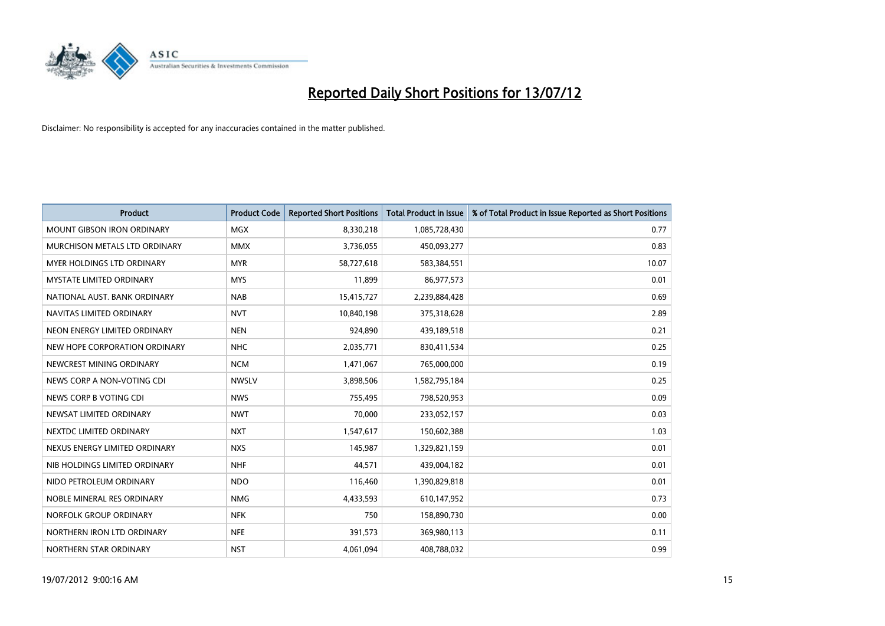

| <b>Product</b>                    | <b>Product Code</b> | <b>Reported Short Positions</b> | <b>Total Product in Issue</b> | % of Total Product in Issue Reported as Short Positions |
|-----------------------------------|---------------------|---------------------------------|-------------------------------|---------------------------------------------------------|
| <b>MOUNT GIBSON IRON ORDINARY</b> | <b>MGX</b>          | 8,330,218                       | 1,085,728,430                 | 0.77                                                    |
| MURCHISON METALS LTD ORDINARY     | <b>MMX</b>          | 3,736,055                       | 450,093,277                   | 0.83                                                    |
| <b>MYER HOLDINGS LTD ORDINARY</b> | <b>MYR</b>          | 58,727,618                      | 583,384,551                   | 10.07                                                   |
| <b>MYSTATE LIMITED ORDINARY</b>   | <b>MYS</b>          | 11.899                          | 86,977,573                    | 0.01                                                    |
| NATIONAL AUST, BANK ORDINARY      | <b>NAB</b>          | 15,415,727                      | 2,239,884,428                 | 0.69                                                    |
| NAVITAS LIMITED ORDINARY          | <b>NVT</b>          | 10,840,198                      | 375,318,628                   | 2.89                                                    |
| NEON ENERGY LIMITED ORDINARY      | <b>NEN</b>          | 924,890                         | 439,189,518                   | 0.21                                                    |
| NEW HOPE CORPORATION ORDINARY     | <b>NHC</b>          | 2,035,771                       | 830,411,534                   | 0.25                                                    |
| NEWCREST MINING ORDINARY          | <b>NCM</b>          | 1,471,067                       | 765,000,000                   | 0.19                                                    |
| NEWS CORP A NON-VOTING CDI        | <b>NWSLV</b>        | 3,898,506                       | 1,582,795,184                 | 0.25                                                    |
| NEWS CORP B VOTING CDI            | <b>NWS</b>          | 755,495                         | 798,520,953                   | 0.09                                                    |
| NEWSAT LIMITED ORDINARY           | <b>NWT</b>          | 70,000                          | 233,052,157                   | 0.03                                                    |
| NEXTDC LIMITED ORDINARY           | <b>NXT</b>          | 1,547,617                       | 150,602,388                   | 1.03                                                    |
| NEXUS ENERGY LIMITED ORDINARY     | <b>NXS</b>          | 145,987                         | 1,329,821,159                 | 0.01                                                    |
| NIB HOLDINGS LIMITED ORDINARY     | <b>NHF</b>          | 44,571                          | 439,004,182                   | 0.01                                                    |
| NIDO PETROLEUM ORDINARY           | <b>NDO</b>          | 116,460                         | 1,390,829,818                 | 0.01                                                    |
| NOBLE MINERAL RES ORDINARY        | <b>NMG</b>          | 4,433,593                       | 610,147,952                   | 0.73                                                    |
| NORFOLK GROUP ORDINARY            | <b>NFK</b>          | 750                             | 158,890,730                   | 0.00                                                    |
| NORTHERN IRON LTD ORDINARY        | <b>NFE</b>          | 391,573                         | 369,980,113                   | 0.11                                                    |
| NORTHERN STAR ORDINARY            | <b>NST</b>          | 4,061,094                       | 408,788,032                   | 0.99                                                    |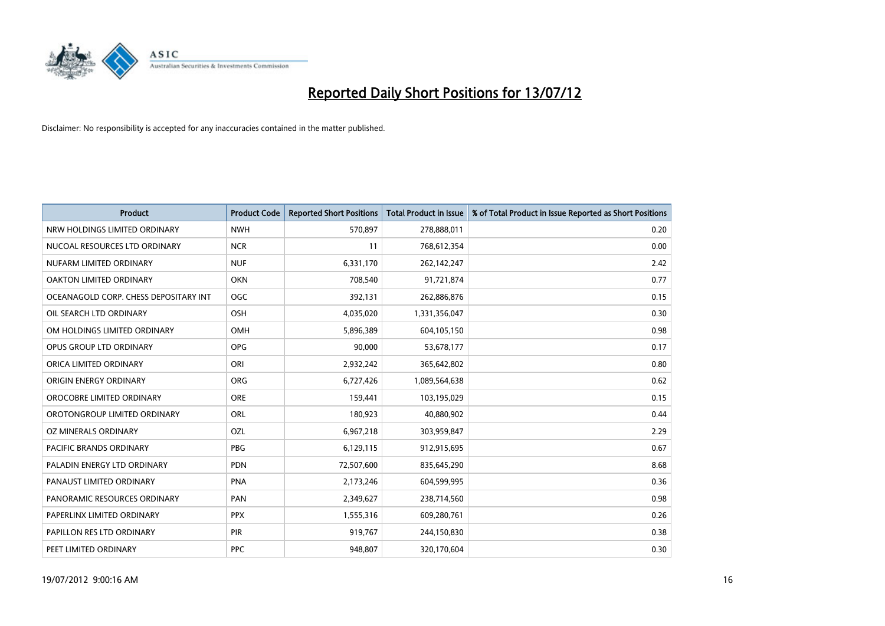

| <b>Product</b>                        | <b>Product Code</b> | <b>Reported Short Positions</b> | <b>Total Product in Issue</b> | % of Total Product in Issue Reported as Short Positions |
|---------------------------------------|---------------------|---------------------------------|-------------------------------|---------------------------------------------------------|
| NRW HOLDINGS LIMITED ORDINARY         | <b>NWH</b>          | 570,897                         | 278,888,011                   | 0.20                                                    |
| NUCOAL RESOURCES LTD ORDINARY         | <b>NCR</b>          | 11                              | 768,612,354                   | 0.00                                                    |
| NUFARM LIMITED ORDINARY               | <b>NUF</b>          | 6,331,170                       | 262,142,247                   | 2.42                                                    |
| OAKTON LIMITED ORDINARY               | <b>OKN</b>          | 708,540                         | 91,721,874                    | 0.77                                                    |
| OCEANAGOLD CORP. CHESS DEPOSITARY INT | OGC                 | 392,131                         | 262,886,876                   | 0.15                                                    |
| OIL SEARCH LTD ORDINARY               | OSH                 | 4,035,020                       | 1,331,356,047                 | 0.30                                                    |
| OM HOLDINGS LIMITED ORDINARY          | OMH                 | 5,896,389                       | 604,105,150                   | 0.98                                                    |
| <b>OPUS GROUP LTD ORDINARY</b>        | <b>OPG</b>          | 90.000                          | 53,678,177                    | 0.17                                                    |
| ORICA LIMITED ORDINARY                | ORI                 | 2,932,242                       | 365,642,802                   | 0.80                                                    |
| ORIGIN ENERGY ORDINARY                | <b>ORG</b>          | 6,727,426                       | 1,089,564,638                 | 0.62                                                    |
| OROCOBRE LIMITED ORDINARY             | <b>ORE</b>          | 159,441                         | 103,195,029                   | 0.15                                                    |
| OROTONGROUP LIMITED ORDINARY          | ORL                 | 180,923                         | 40,880,902                    | 0.44                                                    |
| OZ MINERALS ORDINARY                  | OZL                 | 6,967,218                       | 303,959,847                   | 2.29                                                    |
| PACIFIC BRANDS ORDINARY               | <b>PBG</b>          | 6,129,115                       | 912,915,695                   | 0.67                                                    |
| PALADIN ENERGY LTD ORDINARY           | <b>PDN</b>          | 72,507,600                      | 835,645,290                   | 8.68                                                    |
| PANAUST LIMITED ORDINARY              | <b>PNA</b>          | 2,173,246                       | 604,599,995                   | 0.36                                                    |
| PANORAMIC RESOURCES ORDINARY          | PAN                 | 2,349,627                       | 238,714,560                   | 0.98                                                    |
| PAPERLINX LIMITED ORDINARY            | <b>PPX</b>          | 1,555,316                       | 609,280,761                   | 0.26                                                    |
| PAPILLON RES LTD ORDINARY             | <b>PIR</b>          | 919,767                         | 244,150,830                   | 0.38                                                    |
| PEET LIMITED ORDINARY                 | <b>PPC</b>          | 948,807                         | 320,170,604                   | 0.30                                                    |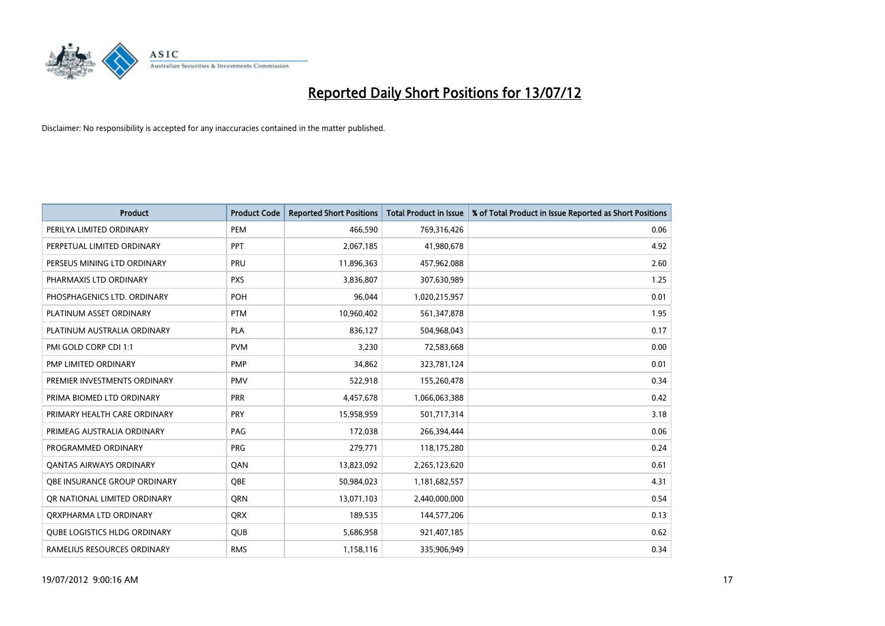

| <b>Product</b>                      | <b>Product Code</b> | <b>Reported Short Positions</b> | <b>Total Product in Issue</b> | % of Total Product in Issue Reported as Short Positions |
|-------------------------------------|---------------------|---------------------------------|-------------------------------|---------------------------------------------------------|
| PERILYA LIMITED ORDINARY            | PEM                 | 466,590                         | 769,316,426                   | 0.06                                                    |
| PERPETUAL LIMITED ORDINARY          | <b>PPT</b>          | 2,067,185                       | 41,980,678                    | 4.92                                                    |
| PERSEUS MINING LTD ORDINARY         | PRU                 | 11,896,363                      | 457,962,088                   | 2.60                                                    |
| PHARMAXIS LTD ORDINARY              | <b>PXS</b>          | 3,836,807                       | 307,630,989                   | 1.25                                                    |
| PHOSPHAGENICS LTD. ORDINARY         | POH                 | 96,044                          | 1,020,215,957                 | 0.01                                                    |
| PLATINUM ASSET ORDINARY             | <b>PTM</b>          | 10,960,402                      | 561,347,878                   | 1.95                                                    |
| PLATINUM AUSTRALIA ORDINARY         | <b>PLA</b>          | 836,127                         | 504,968,043                   | 0.17                                                    |
| PMI GOLD CORP CDI 1:1               | <b>PVM</b>          | 3,230                           | 72,583,668                    | 0.00                                                    |
| PMP LIMITED ORDINARY                | <b>PMP</b>          | 34,862                          | 323,781,124                   | 0.01                                                    |
| PREMIER INVESTMENTS ORDINARY        | <b>PMV</b>          | 522,918                         | 155,260,478                   | 0.34                                                    |
| PRIMA BIOMED LTD ORDINARY           | <b>PRR</b>          | 4,457,678                       | 1,066,063,388                 | 0.42                                                    |
| PRIMARY HEALTH CARE ORDINARY        | PRY                 | 15,958,959                      | 501,717,314                   | 3.18                                                    |
| PRIMEAG AUSTRALIA ORDINARY          | PAG                 | 172,038                         | 266,394,444                   | 0.06                                                    |
| PROGRAMMED ORDINARY                 | <b>PRG</b>          | 279,771                         | 118,175,280                   | 0.24                                                    |
| <b>QANTAS AIRWAYS ORDINARY</b>      | QAN                 | 13,823,092                      | 2,265,123,620                 | 0.61                                                    |
| OBE INSURANCE GROUP ORDINARY        | <b>OBE</b>          | 50,984,023                      | 1,181,682,557                 | 4.31                                                    |
| OR NATIONAL LIMITED ORDINARY        | <b>ORN</b>          | 13,071,103                      | 2,440,000,000                 | 0.54                                                    |
| ORXPHARMA LTD ORDINARY              | <b>QRX</b>          | 189,535                         | 144,577,206                   | 0.13                                                    |
| <b>QUBE LOGISTICS HLDG ORDINARY</b> | <b>QUB</b>          | 5,686,958                       | 921,407,185                   | 0.62                                                    |
| RAMELIUS RESOURCES ORDINARY         | <b>RMS</b>          | 1,158,116                       | 335,906,949                   | 0.34                                                    |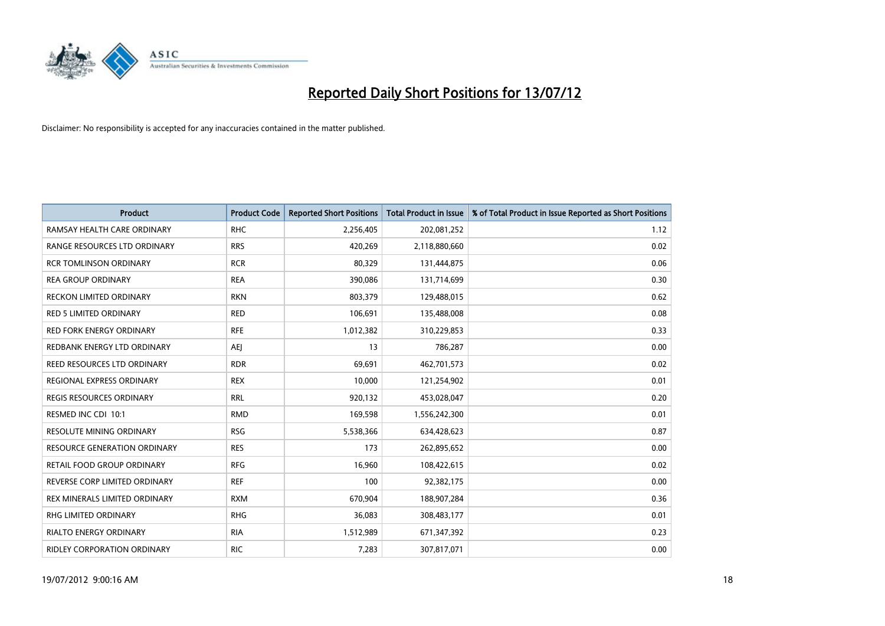

| <b>Product</b>                      | <b>Product Code</b> | <b>Reported Short Positions</b> | <b>Total Product in Issue</b> | % of Total Product in Issue Reported as Short Positions |
|-------------------------------------|---------------------|---------------------------------|-------------------------------|---------------------------------------------------------|
| RAMSAY HEALTH CARE ORDINARY         | <b>RHC</b>          | 2,256,405                       | 202,081,252                   | 1.12                                                    |
| RANGE RESOURCES LTD ORDINARY        | <b>RRS</b>          | 420,269                         | 2,118,880,660                 | 0.02                                                    |
| <b>RCR TOMLINSON ORDINARY</b>       | <b>RCR</b>          | 80,329                          | 131,444,875                   | 0.06                                                    |
| <b>REA GROUP ORDINARY</b>           | <b>REA</b>          | 390,086                         | 131,714,699                   | 0.30                                                    |
| RECKON LIMITED ORDINARY             | <b>RKN</b>          | 803,379                         | 129,488,015                   | 0.62                                                    |
| <b>RED 5 LIMITED ORDINARY</b>       | <b>RED</b>          | 106,691                         | 135,488,008                   | 0.08                                                    |
| <b>RED FORK ENERGY ORDINARY</b>     | <b>RFE</b>          | 1,012,382                       | 310,229,853                   | 0.33                                                    |
| REDBANK ENERGY LTD ORDINARY         | AEJ                 | 13                              | 786,287                       | 0.00                                                    |
| REED RESOURCES LTD ORDINARY         | <b>RDR</b>          | 69,691                          | 462,701,573                   | 0.02                                                    |
| REGIONAL EXPRESS ORDINARY           | <b>REX</b>          | 10,000                          | 121,254,902                   | 0.01                                                    |
| <b>REGIS RESOURCES ORDINARY</b>     | <b>RRL</b>          | 920,132                         | 453,028,047                   | 0.20                                                    |
| RESMED INC CDI 10:1                 | <b>RMD</b>          | 169,598                         | 1,556,242,300                 | 0.01                                                    |
| <b>RESOLUTE MINING ORDINARY</b>     | <b>RSG</b>          | 5,538,366                       | 634,428,623                   | 0.87                                                    |
| <b>RESOURCE GENERATION ORDINARY</b> | <b>RES</b>          | 173                             | 262,895,652                   | 0.00                                                    |
| RETAIL FOOD GROUP ORDINARY          | <b>RFG</b>          | 16,960                          | 108,422,615                   | 0.02                                                    |
| REVERSE CORP LIMITED ORDINARY       | <b>REF</b>          | 100                             | 92,382,175                    | 0.00                                                    |
| REX MINERALS LIMITED ORDINARY       | <b>RXM</b>          | 670,904                         | 188,907,284                   | 0.36                                                    |
| RHG LIMITED ORDINARY                | <b>RHG</b>          | 36,083                          | 308,483,177                   | 0.01                                                    |
| <b>RIALTO ENERGY ORDINARY</b>       | <b>RIA</b>          | 1,512,989                       | 671,347,392                   | 0.23                                                    |
| <b>RIDLEY CORPORATION ORDINARY</b>  | <b>RIC</b>          | 7,283                           | 307,817,071                   | 0.00                                                    |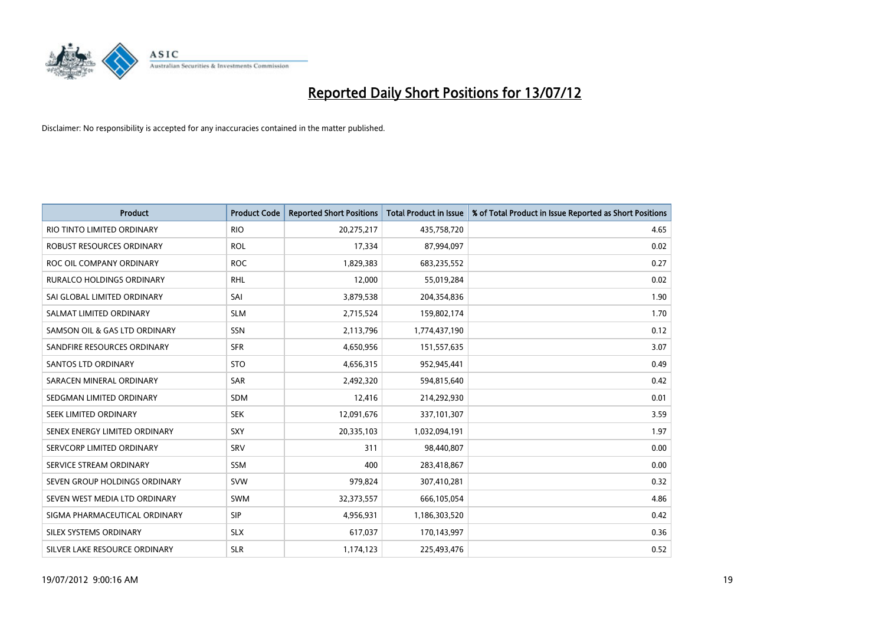

| <b>Product</b>                | <b>Product Code</b> | <b>Reported Short Positions</b> | <b>Total Product in Issue</b> | % of Total Product in Issue Reported as Short Positions |
|-------------------------------|---------------------|---------------------------------|-------------------------------|---------------------------------------------------------|
| RIO TINTO LIMITED ORDINARY    | <b>RIO</b>          | 20,275,217                      | 435,758,720                   | 4.65                                                    |
| ROBUST RESOURCES ORDINARY     | <b>ROL</b>          | 17,334                          | 87,994,097                    | 0.02                                                    |
| ROC OIL COMPANY ORDINARY      | <b>ROC</b>          | 1,829,383                       | 683,235,552                   | 0.27                                                    |
| RURALCO HOLDINGS ORDINARY     | <b>RHL</b>          | 12,000                          | 55,019,284                    | 0.02                                                    |
| SAI GLOBAL LIMITED ORDINARY   | SAI                 | 3,879,538                       | 204,354,836                   | 1.90                                                    |
| SALMAT LIMITED ORDINARY       | <b>SLM</b>          | 2,715,524                       | 159,802,174                   | 1.70                                                    |
| SAMSON OIL & GAS LTD ORDINARY | SSN                 | 2,113,796                       | 1,774,437,190                 | 0.12                                                    |
| SANDFIRE RESOURCES ORDINARY   | <b>SFR</b>          | 4,650,956                       | 151,557,635                   | 3.07                                                    |
| SANTOS LTD ORDINARY           | <b>STO</b>          | 4,656,315                       | 952,945,441                   | 0.49                                                    |
| SARACEN MINERAL ORDINARY      | <b>SAR</b>          | 2,492,320                       | 594,815,640                   | 0.42                                                    |
| SEDGMAN LIMITED ORDINARY      | <b>SDM</b>          | 12,416                          | 214,292,930                   | 0.01                                                    |
| SEEK LIMITED ORDINARY         | <b>SEK</b>          | 12,091,676                      | 337,101,307                   | 3.59                                                    |
| SENEX ENERGY LIMITED ORDINARY | <b>SXY</b>          | 20,335,103                      | 1,032,094,191                 | 1.97                                                    |
| SERVCORP LIMITED ORDINARY     | SRV                 | 311                             | 98,440,807                    | 0.00                                                    |
| SERVICE STREAM ORDINARY       | <b>SSM</b>          | 400                             | 283,418,867                   | 0.00                                                    |
| SEVEN GROUP HOLDINGS ORDINARY | <b>SVW</b>          | 979,824                         | 307,410,281                   | 0.32                                                    |
| SEVEN WEST MEDIA LTD ORDINARY | <b>SWM</b>          | 32,373,557                      | 666,105,054                   | 4.86                                                    |
| SIGMA PHARMACEUTICAL ORDINARY | <b>SIP</b>          | 4,956,931                       | 1,186,303,520                 | 0.42                                                    |
| SILEX SYSTEMS ORDINARY        | <b>SLX</b>          | 617,037                         | 170,143,997                   | 0.36                                                    |
| SILVER LAKE RESOURCE ORDINARY | <b>SLR</b>          | 1,174,123                       | 225,493,476                   | 0.52                                                    |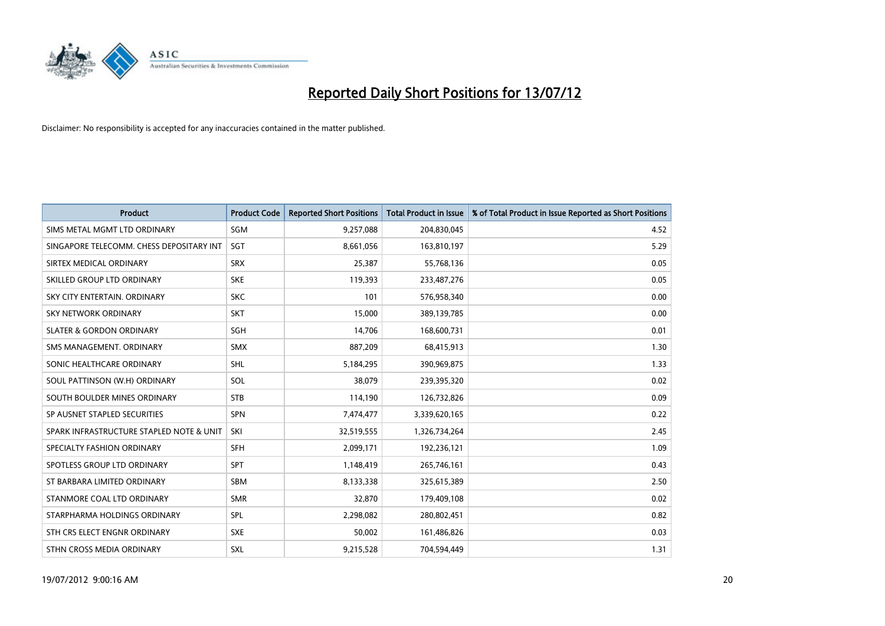

| <b>Product</b>                           | <b>Product Code</b> | <b>Reported Short Positions</b> | <b>Total Product in Issue</b> | % of Total Product in Issue Reported as Short Positions |
|------------------------------------------|---------------------|---------------------------------|-------------------------------|---------------------------------------------------------|
| SIMS METAL MGMT LTD ORDINARY             | SGM                 | 9,257,088                       | 204,830,045                   | 4.52                                                    |
| SINGAPORE TELECOMM. CHESS DEPOSITARY INT | SGT                 | 8,661,056                       | 163,810,197                   | 5.29                                                    |
| SIRTEX MEDICAL ORDINARY                  | <b>SRX</b>          | 25,387                          | 55,768,136                    | 0.05                                                    |
| SKILLED GROUP LTD ORDINARY               | <b>SKE</b>          | 119,393                         | 233,487,276                   | 0.05                                                    |
| SKY CITY ENTERTAIN, ORDINARY             | <b>SKC</b>          | 101                             | 576,958,340                   | 0.00                                                    |
| <b>SKY NETWORK ORDINARY</b>              | <b>SKT</b>          | 15,000                          | 389,139,785                   | 0.00                                                    |
| <b>SLATER &amp; GORDON ORDINARY</b>      | <b>SGH</b>          | 14,706                          | 168,600,731                   | 0.01                                                    |
| SMS MANAGEMENT. ORDINARY                 | <b>SMX</b>          | 887,209                         | 68,415,913                    | 1.30                                                    |
| SONIC HEALTHCARE ORDINARY                | <b>SHL</b>          | 5,184,295                       | 390,969,875                   | 1.33                                                    |
| SOUL PATTINSON (W.H) ORDINARY            | SOL                 | 38,079                          | 239,395,320                   | 0.02                                                    |
| SOUTH BOULDER MINES ORDINARY             | <b>STB</b>          | 114,190                         | 126,732,826                   | 0.09                                                    |
| SP AUSNET STAPLED SECURITIES             | SPN                 | 7,474,477                       | 3,339,620,165                 | 0.22                                                    |
| SPARK INFRASTRUCTURE STAPLED NOTE & UNIT | SKI                 | 32,519,555                      | 1,326,734,264                 | 2.45                                                    |
| SPECIALTY FASHION ORDINARY               | SFH                 | 2,099,171                       | 192,236,121                   | 1.09                                                    |
| SPOTLESS GROUP LTD ORDINARY              | SPT                 | 1,148,419                       | 265,746,161                   | 0.43                                                    |
| ST BARBARA LIMITED ORDINARY              | <b>SBM</b>          | 8,133,338                       | 325,615,389                   | 2.50                                                    |
| STANMORE COAL LTD ORDINARY               | <b>SMR</b>          | 32,870                          | 179,409,108                   | 0.02                                                    |
| STARPHARMA HOLDINGS ORDINARY             | <b>SPL</b>          | 2,298,082                       | 280,802,451                   | 0.82                                                    |
| STH CRS ELECT ENGNR ORDINARY             | <b>SXE</b>          | 50,002                          | 161,486,826                   | 0.03                                                    |
| STHN CROSS MEDIA ORDINARY                | <b>SXL</b>          | 9,215,528                       | 704,594,449                   | 1.31                                                    |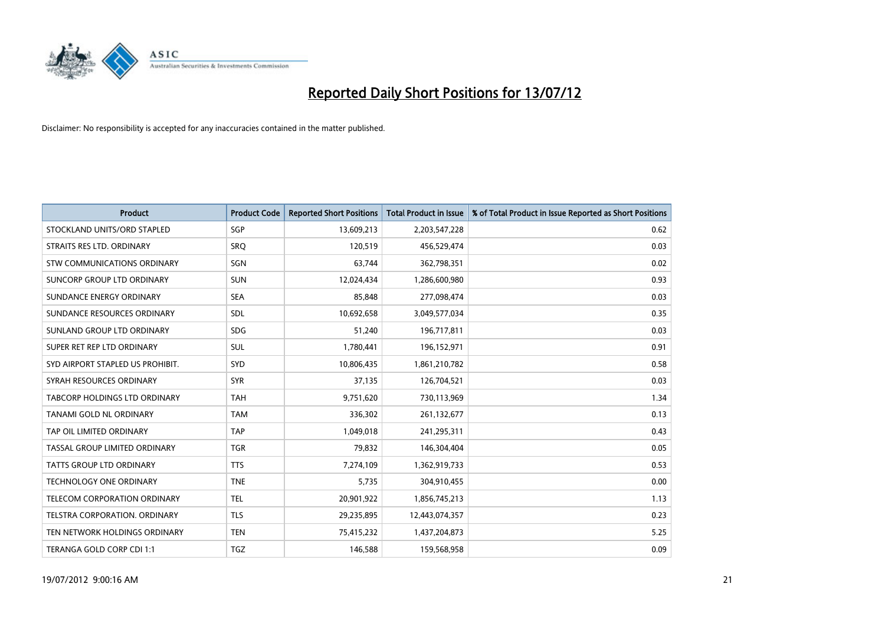

| <b>Product</b>                   | <b>Product Code</b> | <b>Reported Short Positions</b> | <b>Total Product in Issue</b> | % of Total Product in Issue Reported as Short Positions |
|----------------------------------|---------------------|---------------------------------|-------------------------------|---------------------------------------------------------|
| STOCKLAND UNITS/ORD STAPLED      | <b>SGP</b>          | 13,609,213                      | 2,203,547,228                 | 0.62                                                    |
| STRAITS RES LTD. ORDINARY        | SRO                 | 120,519                         | 456,529,474                   | 0.03                                                    |
| STW COMMUNICATIONS ORDINARY      | SGN                 | 63,744                          | 362,798,351                   | 0.02                                                    |
| SUNCORP GROUP LTD ORDINARY       | <b>SUN</b>          | 12,024,434                      | 1,286,600,980                 | 0.93                                                    |
| SUNDANCE ENERGY ORDINARY         | <b>SEA</b>          | 85,848                          | 277,098,474                   | 0.03                                                    |
| SUNDANCE RESOURCES ORDINARY      | SDL                 | 10,692,658                      | 3,049,577,034                 | 0.35                                                    |
| SUNLAND GROUP LTD ORDINARY       | <b>SDG</b>          | 51,240                          | 196,717,811                   | 0.03                                                    |
| SUPER RET REP LTD ORDINARY       | <b>SUL</b>          | 1,780,441                       | 196,152,971                   | 0.91                                                    |
| SYD AIRPORT STAPLED US PROHIBIT. | <b>SYD</b>          | 10,806,435                      | 1,861,210,782                 | 0.58                                                    |
| SYRAH RESOURCES ORDINARY         | <b>SYR</b>          | 37,135                          | 126,704,521                   | 0.03                                                    |
| TABCORP HOLDINGS LTD ORDINARY    | <b>TAH</b>          | 9,751,620                       | 730,113,969                   | 1.34                                                    |
| TANAMI GOLD NL ORDINARY          | <b>TAM</b>          | 336,302                         | 261,132,677                   | 0.13                                                    |
| TAP OIL LIMITED ORDINARY         | <b>TAP</b>          | 1,049,018                       | 241,295,311                   | 0.43                                                    |
| TASSAL GROUP LIMITED ORDINARY    | <b>TGR</b>          | 79,832                          | 146,304,404                   | 0.05                                                    |
| <b>TATTS GROUP LTD ORDINARY</b>  | <b>TTS</b>          | 7,274,109                       | 1,362,919,733                 | 0.53                                                    |
| <b>TECHNOLOGY ONE ORDINARY</b>   | <b>TNE</b>          | 5,735                           | 304,910,455                   | 0.00                                                    |
| TELECOM CORPORATION ORDINARY     | <b>TEL</b>          | 20,901,922                      | 1,856,745,213                 | 1.13                                                    |
| TELSTRA CORPORATION. ORDINARY    | <b>TLS</b>          | 29,235,895                      | 12,443,074,357                | 0.23                                                    |
| TEN NETWORK HOLDINGS ORDINARY    | <b>TEN</b>          | 75,415,232                      | 1,437,204,873                 | 5.25                                                    |
| TERANGA GOLD CORP CDI 1:1        | <b>TGZ</b>          | 146,588                         | 159,568,958                   | 0.09                                                    |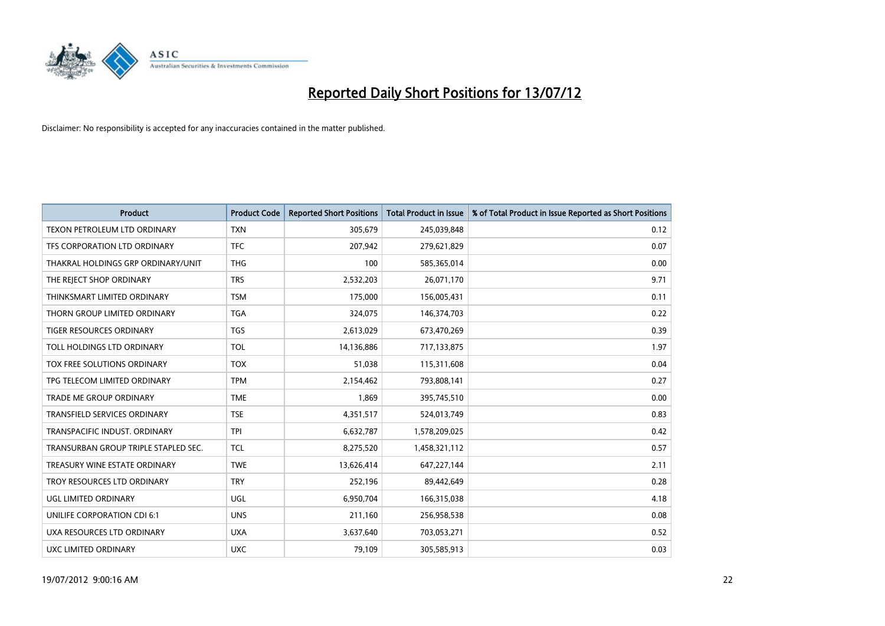

| <b>Product</b>                       | <b>Product Code</b> | <b>Reported Short Positions</b> | <b>Total Product in Issue</b> | % of Total Product in Issue Reported as Short Positions |
|--------------------------------------|---------------------|---------------------------------|-------------------------------|---------------------------------------------------------|
| <b>TEXON PETROLEUM LTD ORDINARY</b>  | <b>TXN</b>          | 305,679                         | 245,039,848                   | 0.12                                                    |
| TFS CORPORATION LTD ORDINARY         | <b>TFC</b>          | 207,942                         | 279,621,829                   | 0.07                                                    |
| THAKRAL HOLDINGS GRP ORDINARY/UNIT   | <b>THG</b>          | 100                             | 585,365,014                   | 0.00                                                    |
| THE REJECT SHOP ORDINARY             | <b>TRS</b>          | 2,532,203                       | 26,071,170                    | 9.71                                                    |
| THINKSMART LIMITED ORDINARY          | <b>TSM</b>          | 175,000                         | 156,005,431                   | 0.11                                                    |
| THORN GROUP LIMITED ORDINARY         | <b>TGA</b>          | 324,075                         | 146,374,703                   | 0.22                                                    |
| TIGER RESOURCES ORDINARY             | <b>TGS</b>          | 2,613,029                       | 673,470,269                   | 0.39                                                    |
| TOLL HOLDINGS LTD ORDINARY           | <b>TOL</b>          | 14,136,886                      | 717,133,875                   | 1.97                                                    |
| <b>TOX FREE SOLUTIONS ORDINARY</b>   | <b>TOX</b>          | 51,038                          | 115,311,608                   | 0.04                                                    |
| TPG TELECOM LIMITED ORDINARY         | <b>TPM</b>          | 2,154,462                       | 793,808,141                   | 0.27                                                    |
| TRADE ME GROUP ORDINARY              | <b>TME</b>          | 1,869                           | 395,745,510                   | 0.00                                                    |
| <b>TRANSFIELD SERVICES ORDINARY</b>  | <b>TSE</b>          | 4,351,517                       | 524,013,749                   | 0.83                                                    |
| TRANSPACIFIC INDUST. ORDINARY        | <b>TPI</b>          | 6,632,787                       | 1,578,209,025                 | 0.42                                                    |
| TRANSURBAN GROUP TRIPLE STAPLED SEC. | <b>TCL</b>          | 8,275,520                       | 1,458,321,112                 | 0.57                                                    |
| TREASURY WINE ESTATE ORDINARY        | <b>TWE</b>          | 13,626,414                      | 647,227,144                   | 2.11                                                    |
| TROY RESOURCES LTD ORDINARY          | <b>TRY</b>          | 252,196                         | 89,442,649                    | 0.28                                                    |
| UGL LIMITED ORDINARY                 | UGL                 | 6,950,704                       | 166,315,038                   | 4.18                                                    |
| UNILIFE CORPORATION CDI 6:1          | <b>UNS</b>          | 211,160                         | 256,958,538                   | 0.08                                                    |
| UXA RESOURCES LTD ORDINARY           | <b>UXA</b>          | 3,637,640                       | 703,053,271                   | 0.52                                                    |
| UXC LIMITED ORDINARY                 | <b>UXC</b>          | 79,109                          | 305,585,913                   | 0.03                                                    |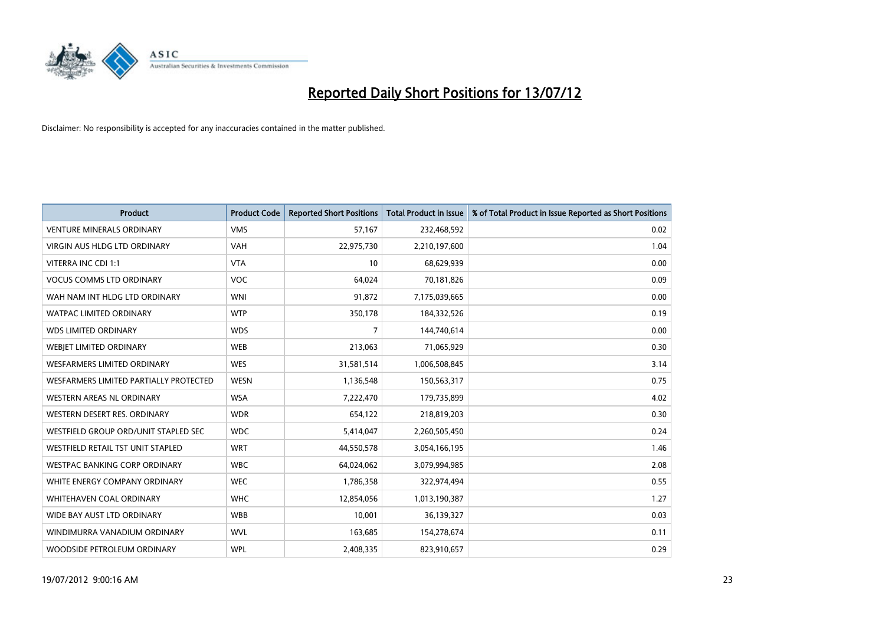

| <b>Product</b>                           | <b>Product Code</b> | <b>Reported Short Positions</b> | <b>Total Product in Issue</b> | % of Total Product in Issue Reported as Short Positions |
|------------------------------------------|---------------------|---------------------------------|-------------------------------|---------------------------------------------------------|
| <b>VENTURE MINERALS ORDINARY</b>         | <b>VMS</b>          | 57,167                          | 232,468,592                   | 0.02                                                    |
| <b>VIRGIN AUS HLDG LTD ORDINARY</b>      | <b>VAH</b>          | 22,975,730                      | 2,210,197,600                 | 1.04                                                    |
| VITERRA INC CDI 1:1                      | <b>VTA</b>          | 10                              | 68,629,939                    | 0.00                                                    |
| <b>VOCUS COMMS LTD ORDINARY</b>          | <b>VOC</b>          | 64,024                          | 70,181,826                    | 0.09                                                    |
| WAH NAM INT HLDG LTD ORDINARY            | <b>WNI</b>          | 91,872                          | 7,175,039,665                 | 0.00                                                    |
| <b>WATPAC LIMITED ORDINARY</b>           | <b>WTP</b>          | 350,178                         | 184,332,526                   | 0.19                                                    |
| <b>WDS LIMITED ORDINARY</b>              | <b>WDS</b>          | 7                               | 144,740,614                   | 0.00                                                    |
| WEBIET LIMITED ORDINARY                  | <b>WEB</b>          | 213,063                         | 71,065,929                    | 0.30                                                    |
| <b>WESFARMERS LIMITED ORDINARY</b>       | <b>WES</b>          | 31,581,514                      | 1,006,508,845                 | 3.14                                                    |
| WESFARMERS LIMITED PARTIALLY PROTECTED   | <b>WESN</b>         | 1,136,548                       | 150,563,317                   | 0.75                                                    |
| WESTERN AREAS NL ORDINARY                | <b>WSA</b>          | 7,222,470                       | 179,735,899                   | 4.02                                                    |
| WESTERN DESERT RES. ORDINARY             | <b>WDR</b>          | 654,122                         | 218,819,203                   | 0.30                                                    |
| WESTFIELD GROUP ORD/UNIT STAPLED SEC     | <b>WDC</b>          | 5,414,047                       | 2,260,505,450                 | 0.24                                                    |
| <b>WESTFIELD RETAIL TST UNIT STAPLED</b> | <b>WRT</b>          | 44,550,578                      | 3,054,166,195                 | 1.46                                                    |
| <b>WESTPAC BANKING CORP ORDINARY</b>     | <b>WBC</b>          | 64,024,062                      | 3,079,994,985                 | 2.08                                                    |
| WHITE ENERGY COMPANY ORDINARY            | <b>WEC</b>          | 1,786,358                       | 322,974,494                   | 0.55                                                    |
| WHITEHAVEN COAL ORDINARY                 | <b>WHC</b>          | 12,854,056                      | 1,013,190,387                 | 1.27                                                    |
| WIDE BAY AUST LTD ORDINARY               | <b>WBB</b>          | 10,001                          | 36,139,327                    | 0.03                                                    |
| WINDIMURRA VANADIUM ORDINARY             | <b>WVL</b>          | 163,685                         | 154,278,674                   | 0.11                                                    |
| WOODSIDE PETROLEUM ORDINARY              | <b>WPL</b>          | 2,408,335                       | 823,910,657                   | 0.29                                                    |